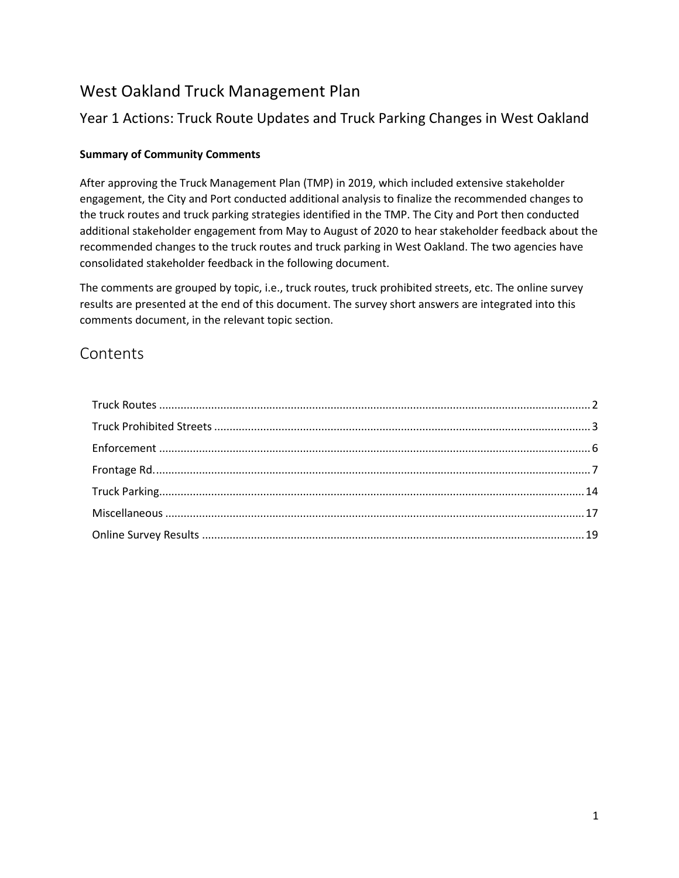#### West Oakland Truck Management Plan

#### Year 1 Actions: Truck Route Updates and Truck Parking Changes in West Oakland

#### **Summary of Community Comments**

After approving the Truck Management Plan (TMP) in 2019, which included extensive stakeholder engagement, the City and Port conducted additional analysis to finalize the recommended changes to the truck routes and truck parking strategies identified in the TMP. The City and Port then conducted additional stakeholder engagement from May to August of 2020 to hear stakeholder feedback about the recommended changes to the truck routes and truck parking in West Oakland. The two agencies have consolidated stakeholder feedback in the following document.

The comments are grouped by topic, i.e., truck routes, truck prohibited streets, etc. The online survey results are presented at the end of this document. The survey short answers are integrated into this comments document, in the relevant topic section.

#### Contents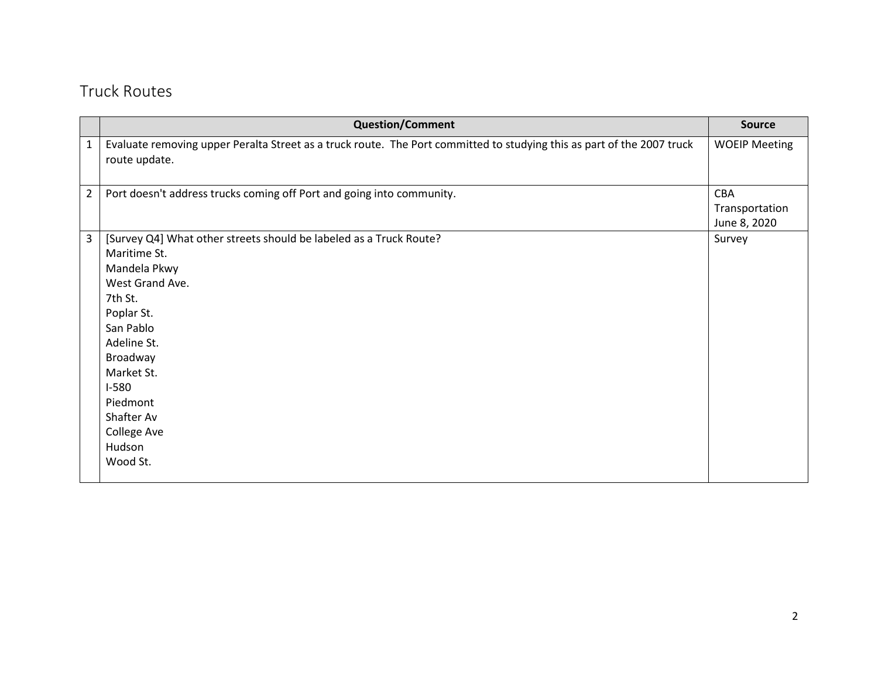### Truck Routes

<span id="page-1-0"></span>

|                | <b>Question/Comment</b>                                                                                                                                                                                                                                                               | <b>Source</b>                                |
|----------------|---------------------------------------------------------------------------------------------------------------------------------------------------------------------------------------------------------------------------------------------------------------------------------------|----------------------------------------------|
| $\mathbf{1}$   | Evaluate removing upper Peralta Street as a truck route. The Port committed to studying this as part of the 2007 truck<br>route update.                                                                                                                                               | <b>WOEIP Meeting</b>                         |
| $\overline{2}$ | Port doesn't address trucks coming off Port and going into community.                                                                                                                                                                                                                 | <b>CBA</b><br>Transportation<br>June 8, 2020 |
| 3              | [Survey Q4] What other streets should be labeled as a Truck Route?<br>Maritime St.<br>Mandela Pkwy<br>West Grand Ave.<br>7th St.<br>Poplar St.<br>San Pablo<br>Adeline St.<br>Broadway<br>Market St.<br>$I-580$<br>Piedmont<br>Shafter Av<br><b>College Ave</b><br>Hudson<br>Wood St. | Survey                                       |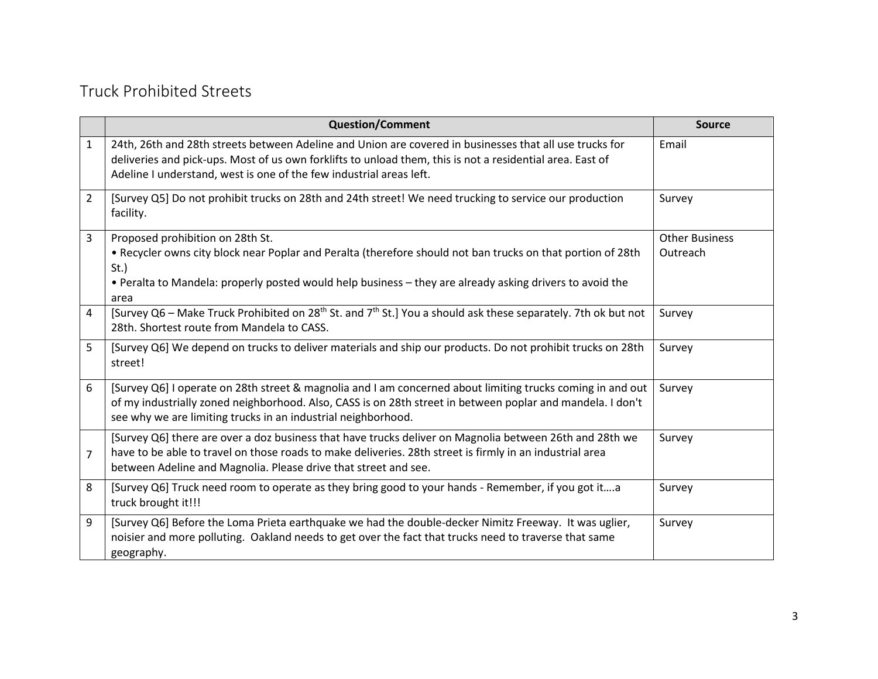### Truck Prohibited Streets

<span id="page-2-0"></span>

|                | <b>Question/Comment</b>                                                                                                                                                                                                                                                                     | <b>Source</b>                     |
|----------------|---------------------------------------------------------------------------------------------------------------------------------------------------------------------------------------------------------------------------------------------------------------------------------------------|-----------------------------------|
| 1              | 24th, 26th and 28th streets between Adeline and Union are covered in businesses that all use trucks for<br>deliveries and pick-ups. Most of us own forklifts to unload them, this is not a residential area. East of<br>Adeline I understand, west is one of the few industrial areas left. | Email                             |
| $\overline{2}$ | [Survey Q5] Do not prohibit trucks on 28th and 24th street! We need trucking to service our production<br>facility.                                                                                                                                                                         | Survey                            |
| 3              | Proposed prohibition on 28th St.<br>• Recycler owns city block near Poplar and Peralta (therefore should not ban trucks on that portion of 28th<br>$St.$ )<br>• Peralta to Mandela: properly posted would help business – they are already asking drivers to avoid the<br>area              | <b>Other Business</b><br>Outreach |
| 4              | [Survey Q6 – Make Truck Prohibited on 28 <sup>th</sup> St. and 7 <sup>th</sup> St.] You a should ask these separately. 7th ok but not<br>28th. Shortest route from Mandela to CASS.                                                                                                         | Survey                            |
| 5              | [Survey Q6] We depend on trucks to deliver materials and ship our products. Do not prohibit trucks on 28th<br>street!                                                                                                                                                                       | Survey                            |
| 6              | [Survey Q6] I operate on 28th street & magnolia and I am concerned about limiting trucks coming in and out<br>of my industrially zoned neighborhood. Also, CASS is on 28th street in between poplar and mandela. I don't<br>see why we are limiting trucks in an industrial neighborhood.   | Survey                            |
| $\overline{7}$ | [Survey Q6] there are over a doz business that have trucks deliver on Magnolia between 26th and 28th we<br>have to be able to travel on those roads to make deliveries. 28th street is firmly in an industrial area<br>between Adeline and Magnolia. Please drive that street and see.      | Survey                            |
| 8              | [Survey Q6] Truck need room to operate as they bring good to your hands - Remember, if you got ita<br>truck brought it!!!                                                                                                                                                                   | Survey                            |
| 9              | [Survey Q6] Before the Loma Prieta earthquake we had the double-decker Nimitz Freeway. It was uglier,<br>noisier and more polluting. Oakland needs to get over the fact that trucks need to traverse that same<br>geography.                                                                | Survey                            |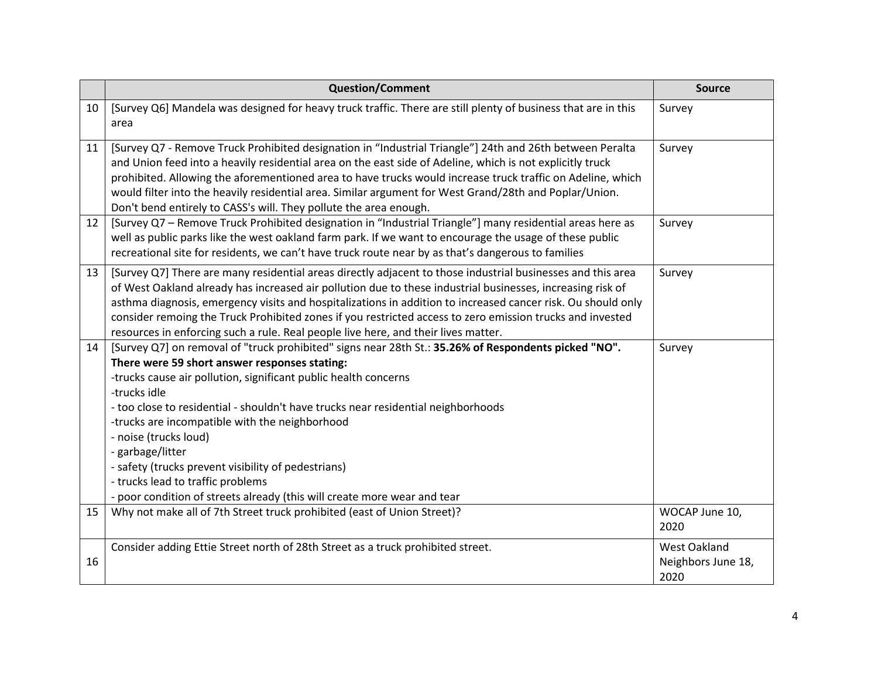|    | <b>Question/Comment</b>                                                                                                                                                                                                                                                                                                                                                                                                                                                                                                                                                                              | <b>Source</b>                              |
|----|------------------------------------------------------------------------------------------------------------------------------------------------------------------------------------------------------------------------------------------------------------------------------------------------------------------------------------------------------------------------------------------------------------------------------------------------------------------------------------------------------------------------------------------------------------------------------------------------------|--------------------------------------------|
| 10 | [Survey Q6] Mandela was designed for heavy truck traffic. There are still plenty of business that are in this<br>area                                                                                                                                                                                                                                                                                                                                                                                                                                                                                | Survey                                     |
| 11 | [Survey Q7 - Remove Truck Prohibited designation in "Industrial Triangle"] 24th and 26th between Peralta<br>and Union feed into a heavily residential area on the east side of Adeline, which is not explicitly truck<br>prohibited. Allowing the aforementioned area to have trucks would increase truck traffic on Adeline, which<br>would filter into the heavily residential area. Similar argument for West Grand/28th and Poplar/Union.<br>Don't bend entirely to CASS's will. They pollute the area enough.                                                                                   | Survey                                     |
| 12 | [Survey Q7 - Remove Truck Prohibited designation in "Industrial Triangle"] many residential areas here as<br>well as public parks like the west oakland farm park. If we want to encourage the usage of these public<br>recreational site for residents, we can't have truck route near by as that's dangerous to families                                                                                                                                                                                                                                                                           | Survey                                     |
| 13 | [Survey Q7] There are many residential areas directly adjacent to those industrial businesses and this area<br>of West Oakland already has increased air pollution due to these industrial businesses, increasing risk of<br>asthma diagnosis, emergency visits and hospitalizations in addition to increased cancer risk. Ou should only<br>consider remoing the Truck Prohibited zones if you restricted access to zero emission trucks and invested<br>resources in enforcing such a rule. Real people live here, and their lives matter.                                                         | Survey                                     |
| 14 | [Survey Q7] on removal of "truck prohibited" signs near 28th St.: 35.26% of Respondents picked "NO".<br>There were 59 short answer responses stating:<br>-trucks cause air pollution, significant public health concerns<br>-trucks idle<br>- too close to residential - shouldn't have trucks near residential neighborhoods<br>-trucks are incompatible with the neighborhood<br>- noise (trucks loud)<br>- garbage/litter<br>- safety (trucks prevent visibility of pedestrians)<br>- trucks lead to traffic problems<br>- poor condition of streets already (this will create more wear and tear | Survey                                     |
| 15 | Why not make all of 7th Street truck prohibited (east of Union Street)?                                                                                                                                                                                                                                                                                                                                                                                                                                                                                                                              | WOCAP June 10,<br>2020                     |
| 16 | Consider adding Ettie Street north of 28th Street as a truck prohibited street.                                                                                                                                                                                                                                                                                                                                                                                                                                                                                                                      | West Oakland<br>Neighbors June 18,<br>2020 |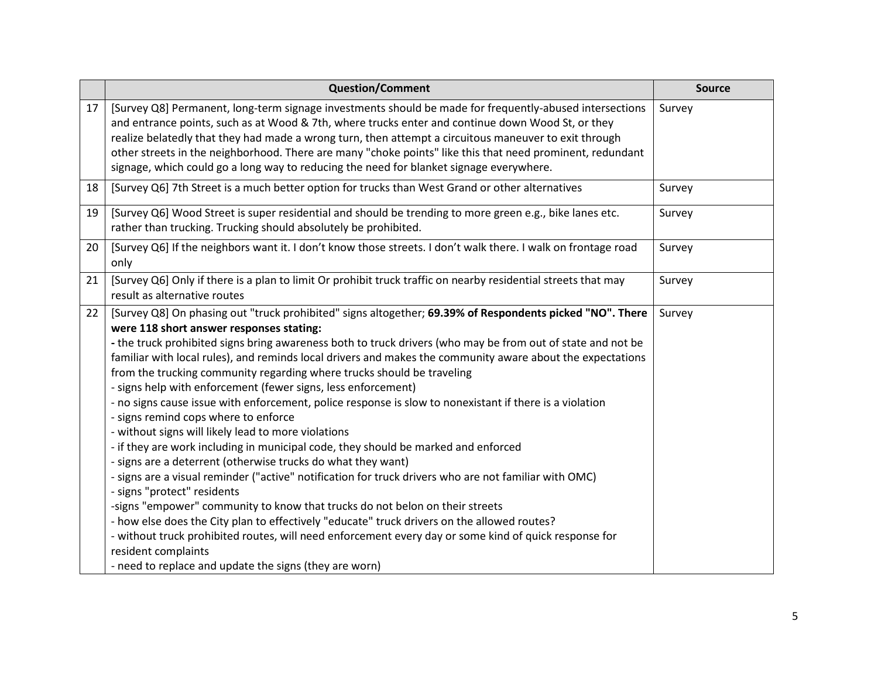|    | <b>Question/Comment</b>                                                                                                                                                                                                                                                                                                                                                                                                                                                                                                                                                                                                                                                                                                                                                                                                                                                                                                                                                                                                                                                                                                                                                                                                                                                                                                                                                                                       | <b>Source</b> |
|----|---------------------------------------------------------------------------------------------------------------------------------------------------------------------------------------------------------------------------------------------------------------------------------------------------------------------------------------------------------------------------------------------------------------------------------------------------------------------------------------------------------------------------------------------------------------------------------------------------------------------------------------------------------------------------------------------------------------------------------------------------------------------------------------------------------------------------------------------------------------------------------------------------------------------------------------------------------------------------------------------------------------------------------------------------------------------------------------------------------------------------------------------------------------------------------------------------------------------------------------------------------------------------------------------------------------------------------------------------------------------------------------------------------------|---------------|
| 17 | [Survey Q8] Permanent, long-term signage investments should be made for frequently-abused intersections<br>and entrance points, such as at Wood & 7th, where trucks enter and continue down Wood St, or they<br>realize belatedly that they had made a wrong turn, then attempt a circuitous maneuver to exit through<br>other streets in the neighborhood. There are many "choke points" like this that need prominent, redundant<br>signage, which could go a long way to reducing the need for blanket signage everywhere.                                                                                                                                                                                                                                                                                                                                                                                                                                                                                                                                                                                                                                                                                                                                                                                                                                                                                 | Survey        |
| 18 | [Survey Q6] 7th Street is a much better option for trucks than West Grand or other alternatives                                                                                                                                                                                                                                                                                                                                                                                                                                                                                                                                                                                                                                                                                                                                                                                                                                                                                                                                                                                                                                                                                                                                                                                                                                                                                                               | Survey        |
| 19 | [Survey Q6] Wood Street is super residential and should be trending to more green e.g., bike lanes etc.<br>rather than trucking. Trucking should absolutely be prohibited.                                                                                                                                                                                                                                                                                                                                                                                                                                                                                                                                                                                                                                                                                                                                                                                                                                                                                                                                                                                                                                                                                                                                                                                                                                    | Survey        |
| 20 | [Survey Q6] If the neighbors want it. I don't know those streets. I don't walk there. I walk on frontage road<br>only                                                                                                                                                                                                                                                                                                                                                                                                                                                                                                                                                                                                                                                                                                                                                                                                                                                                                                                                                                                                                                                                                                                                                                                                                                                                                         | Survey        |
| 21 | [Survey Q6] Only if there is a plan to limit Or prohibit truck traffic on nearby residential streets that may<br>result as alternative routes                                                                                                                                                                                                                                                                                                                                                                                                                                                                                                                                                                                                                                                                                                                                                                                                                                                                                                                                                                                                                                                                                                                                                                                                                                                                 | Survey        |
| 22 | [Survey Q8] On phasing out "truck prohibited" signs altogether; 69.39% of Respondents picked "NO". There<br>were 118 short answer responses stating:<br>- the truck prohibited signs bring awareness both to truck drivers (who may be from out of state and not be<br>familiar with local rules), and reminds local drivers and makes the community aware about the expectations<br>from the trucking community regarding where trucks should be traveling<br>- signs help with enforcement (fewer signs, less enforcement)<br>- no signs cause issue with enforcement, police response is slow to nonexistant if there is a violation<br>- signs remind cops where to enforce<br>- without signs will likely lead to more violations<br>- if they are work including in municipal code, they should be marked and enforced<br>- signs are a deterrent (otherwise trucks do what they want)<br>- signs are a visual reminder ("active" notification for truck drivers who are not familiar with OMC)<br>- signs "protect" residents<br>-signs "empower" community to know that trucks do not belon on their streets<br>- how else does the City plan to effectively "educate" truck drivers on the allowed routes?<br>- without truck prohibited routes, will need enforcement every day or some kind of quick response for<br>resident complaints<br>- need to replace and update the signs (they are worn) | Survey        |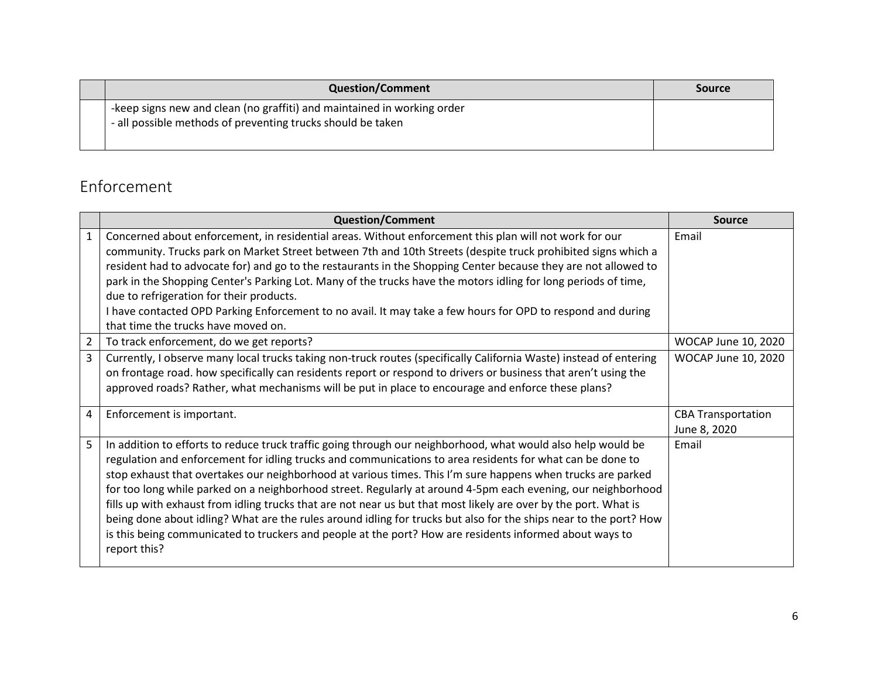| <b>Question/Comment</b>                                                                                                                | <b>Source</b> |
|----------------------------------------------------------------------------------------------------------------------------------------|---------------|
| -keep signs new and clean (no graffiti) and maintained in working order<br>- all possible methods of preventing trucks should be taken |               |

### Enforcement

<span id="page-5-0"></span>

|                | <b>Question/Comment</b>                                                                                                                                                                                                                                                                                                                                                                                                                                                                                                                                                                                                                                                                                                                                                                                                      | <b>Source</b>                             |
|----------------|------------------------------------------------------------------------------------------------------------------------------------------------------------------------------------------------------------------------------------------------------------------------------------------------------------------------------------------------------------------------------------------------------------------------------------------------------------------------------------------------------------------------------------------------------------------------------------------------------------------------------------------------------------------------------------------------------------------------------------------------------------------------------------------------------------------------------|-------------------------------------------|
| $\mathbf{1}$   | Concerned about enforcement, in residential areas. Without enforcement this plan will not work for our<br>community. Trucks park on Market Street between 7th and 10th Streets (despite truck prohibited signs which a<br>resident had to advocate for) and go to the restaurants in the Shopping Center because they are not allowed to<br>park in the Shopping Center's Parking Lot. Many of the trucks have the motors idling for long periods of time,<br>due to refrigeration for their products.<br>I have contacted OPD Parking Enforcement to no avail. It may take a few hours for OPD to respond and during<br>that time the trucks have moved on.                                                                                                                                                                 | Email                                     |
| $\overline{2}$ | To track enforcement, do we get reports?                                                                                                                                                                                                                                                                                                                                                                                                                                                                                                                                                                                                                                                                                                                                                                                     | WOCAP June 10, 2020                       |
| 3              | Currently, I observe many local trucks taking non-truck routes (specifically California Waste) instead of entering<br>on frontage road. how specifically can residents report or respond to drivers or business that aren't using the<br>approved roads? Rather, what mechanisms will be put in place to encourage and enforce these plans?                                                                                                                                                                                                                                                                                                                                                                                                                                                                                  | WOCAP June 10, 2020                       |
| 4              | Enforcement is important.                                                                                                                                                                                                                                                                                                                                                                                                                                                                                                                                                                                                                                                                                                                                                                                                    | <b>CBA Transportation</b><br>June 8, 2020 |
| 5              | In addition to efforts to reduce truck traffic going through our neighborhood, what would also help would be<br>regulation and enforcement for idling trucks and communications to area residents for what can be done to<br>stop exhaust that overtakes our neighborhood at various times. This I'm sure happens when trucks are parked<br>for too long while parked on a neighborhood street. Regularly at around 4-5pm each evening, our neighborhood<br>fills up with exhaust from idling trucks that are not near us but that most likely are over by the port. What is<br>being done about idling? What are the rules around idling for trucks but also for the ships near to the port? How<br>is this being communicated to truckers and people at the port? How are residents informed about ways to<br>report this? | Email                                     |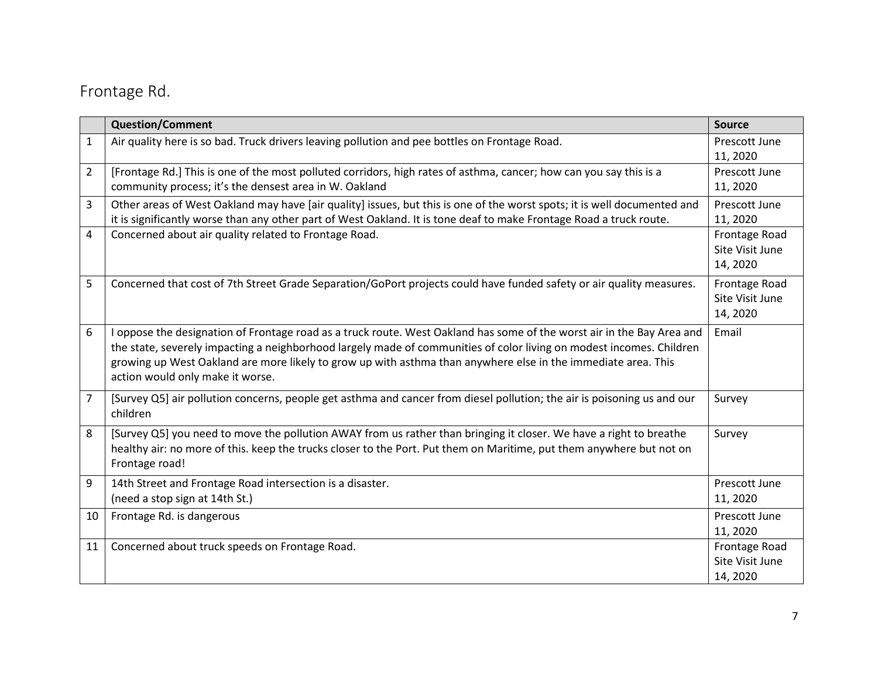### Frontage Rd.

<span id="page-6-0"></span>

|                | <b>Question/Comment</b>                                                                                                                                                                                                                                                                                                                                                                             | <b>Source</b>                                |
|----------------|-----------------------------------------------------------------------------------------------------------------------------------------------------------------------------------------------------------------------------------------------------------------------------------------------------------------------------------------------------------------------------------------------------|----------------------------------------------|
| $\mathbf{1}$   | Air quality here is so bad. Truck drivers leaving pollution and pee bottles on Frontage Road.                                                                                                                                                                                                                                                                                                       | Prescott June<br>11, 2020                    |
| $\overline{2}$ | [Frontage Rd.] This is one of the most polluted corridors, high rates of asthma, cancer; how can you say this is a<br>community process; it's the densest area in W. Oakland                                                                                                                                                                                                                        | Prescott June<br>11, 2020                    |
| 3              | Other areas of West Oakland may have [air quality] issues, but this is one of the worst spots; it is well documented and<br>it is significantly worse than any other part of West Oakland. It is tone deaf to make Frontage Road a truck route.                                                                                                                                                     | Prescott June<br>11, 2020                    |
| 4              | Concerned about air quality related to Frontage Road.                                                                                                                                                                                                                                                                                                                                               | Frontage Road<br>Site Visit June<br>14, 2020 |
| 5              | Concerned that cost of 7th Street Grade Separation/GoPort projects could have funded safety or air quality measures.                                                                                                                                                                                                                                                                                | Frontage Road<br>Site Visit June<br>14, 2020 |
| 6              | I oppose the designation of Frontage road as a truck route. West Oakland has some of the worst air in the Bay Area and<br>the state, severely impacting a neighborhood largely made of communities of color living on modest incomes. Children<br>growing up West Oakland are more likely to grow up with asthma than anywhere else in the immediate area. This<br>action would only make it worse. | Email                                        |
| $\overline{7}$ | [Survey Q5] air pollution concerns, people get asthma and cancer from diesel pollution; the air is poisoning us and our<br>children                                                                                                                                                                                                                                                                 | Survey                                       |
| 8              | [Survey Q5] you need to move the pollution AWAY from us rather than bringing it closer. We have a right to breathe<br>healthy air: no more of this. keep the trucks closer to the Port. Put them on Maritime, put them anywhere but not on<br>Frontage road!                                                                                                                                        | Survey                                       |
| 9              | 14th Street and Frontage Road intersection is a disaster.<br>(need a stop sign at 14th St.)                                                                                                                                                                                                                                                                                                         | Prescott June<br>11, 2020                    |
| 10             | Frontage Rd. is dangerous                                                                                                                                                                                                                                                                                                                                                                           | Prescott June<br>11, 2020                    |
| 11             | Concerned about truck speeds on Frontage Road.                                                                                                                                                                                                                                                                                                                                                      | Frontage Road<br>Site Visit June<br>14, 2020 |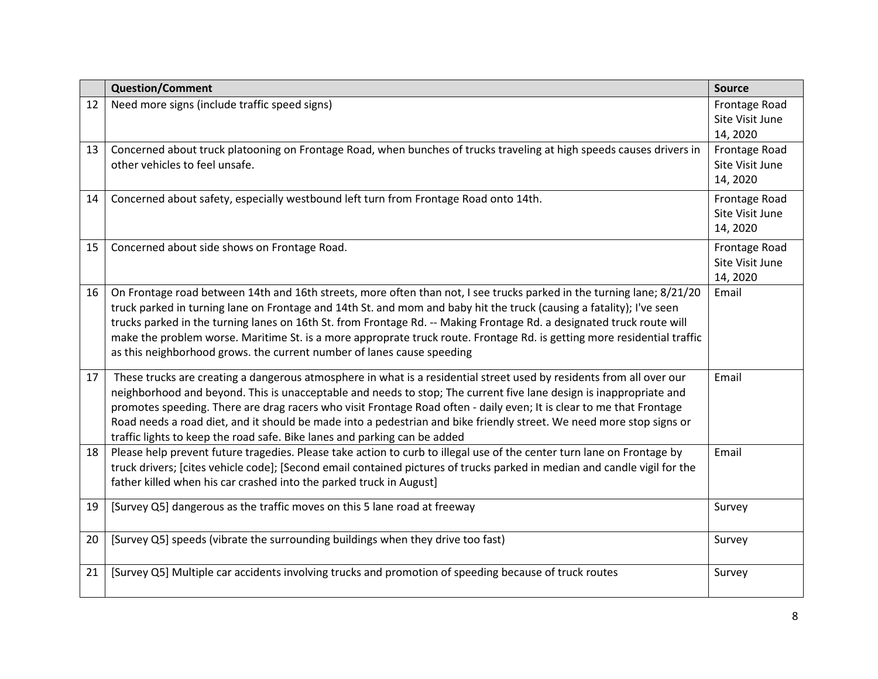|                 | <b>Question/Comment</b>                                                                                                                                                                                                                                                                                                                                                                                                                                                                                                                                                     | <b>Source</b>                                |
|-----------------|-----------------------------------------------------------------------------------------------------------------------------------------------------------------------------------------------------------------------------------------------------------------------------------------------------------------------------------------------------------------------------------------------------------------------------------------------------------------------------------------------------------------------------------------------------------------------------|----------------------------------------------|
| 12              | Need more signs (include traffic speed signs)                                                                                                                                                                                                                                                                                                                                                                                                                                                                                                                               | Frontage Road<br>Site Visit June<br>14, 2020 |
| 13              | Concerned about truck platooning on Frontage Road, when bunches of trucks traveling at high speeds causes drivers in<br>other vehicles to feel unsafe.                                                                                                                                                                                                                                                                                                                                                                                                                      | Frontage Road<br>Site Visit June<br>14, 2020 |
| 14              | Concerned about safety, especially westbound left turn from Frontage Road onto 14th.                                                                                                                                                                                                                                                                                                                                                                                                                                                                                        | Frontage Road<br>Site Visit June<br>14, 2020 |
| 15 <sub>1</sub> | Concerned about side shows on Frontage Road.                                                                                                                                                                                                                                                                                                                                                                                                                                                                                                                                | Frontage Road<br>Site Visit June<br>14, 2020 |
| 16              | On Frontage road between 14th and 16th streets, more often than not, I see trucks parked in the turning lane; 8/21/20<br>truck parked in turning lane on Frontage and 14th St. and mom and baby hit the truck (causing a fatality); I've seen<br>trucks parked in the turning lanes on 16th St. from Frontage Rd. -- Making Frontage Rd. a designated truck route will<br>make the problem worse. Maritime St. is a more approprate truck route. Frontage Rd. is getting more residential traffic<br>as this neighborhood grows. the current number of lanes cause speeding | Email                                        |
| 17              | These trucks are creating a dangerous atmosphere in what is a residential street used by residents from all over our<br>neighborhood and beyond. This is unacceptable and needs to stop; The current five lane design is inappropriate and<br>promotes speeding. There are drag racers who visit Frontage Road often - daily even; It is clear to me that Frontage<br>Road needs a road diet, and it should be made into a pedestrian and bike friendly street. We need more stop signs or<br>traffic lights to keep the road safe. Bike lanes and parking can be added     | Email                                        |
| 18              | Please help prevent future tragedies. Please take action to curb to illegal use of the center turn lane on Frontage by<br>truck drivers; [cites vehicle code]; [Second email contained pictures of trucks parked in median and candle vigil for the<br>father killed when his car crashed into the parked truck in August]                                                                                                                                                                                                                                                  | Email                                        |
| 19              | [Survey Q5] dangerous as the traffic moves on this 5 lane road at freeway                                                                                                                                                                                                                                                                                                                                                                                                                                                                                                   | Survey                                       |
| 20              | [Survey Q5] speeds (vibrate the surrounding buildings when they drive too fast)                                                                                                                                                                                                                                                                                                                                                                                                                                                                                             | Survey                                       |
| 21              | [Survey Q5] Multiple car accidents involving trucks and promotion of speeding because of truck routes                                                                                                                                                                                                                                                                                                                                                                                                                                                                       | Survey                                       |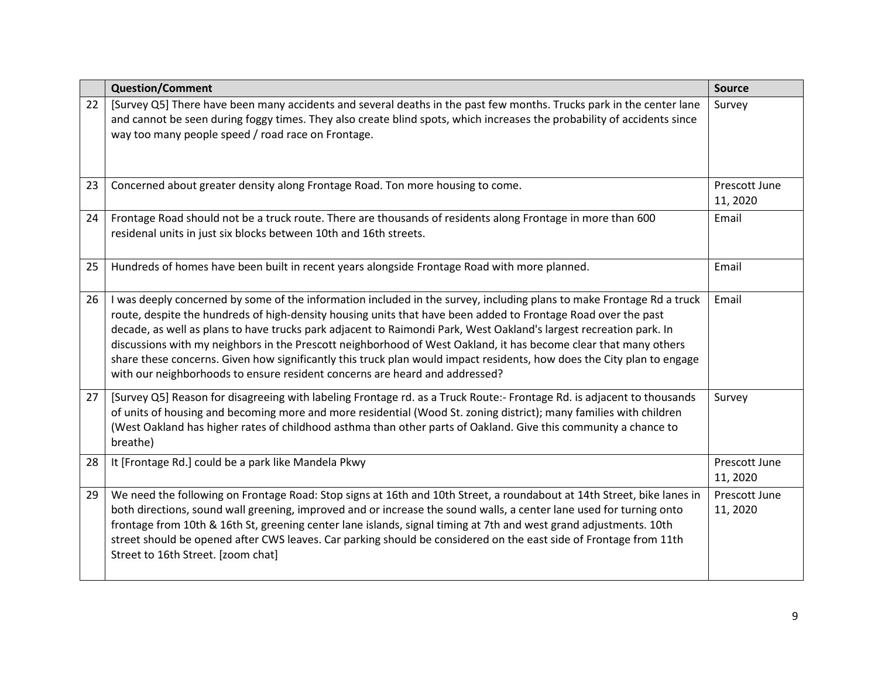|    | <b>Question/Comment</b>                                                                                                                                                                                                                                                                                                                                                                                                                                                                                                                                                                                                                                                                   | <b>Source</b>             |
|----|-------------------------------------------------------------------------------------------------------------------------------------------------------------------------------------------------------------------------------------------------------------------------------------------------------------------------------------------------------------------------------------------------------------------------------------------------------------------------------------------------------------------------------------------------------------------------------------------------------------------------------------------------------------------------------------------|---------------------------|
| 22 | [Survey Q5] There have been many accidents and several deaths in the past few months. Trucks park in the center lane<br>and cannot be seen during foggy times. They also create blind spots, which increases the probability of accidents since<br>way too many people speed / road race on Frontage.                                                                                                                                                                                                                                                                                                                                                                                     | Survey                    |
| 23 | Concerned about greater density along Frontage Road. Ton more housing to come.                                                                                                                                                                                                                                                                                                                                                                                                                                                                                                                                                                                                            | Prescott June<br>11, 2020 |
| 24 | Frontage Road should not be a truck route. There are thousands of residents along Frontage in more than 600<br>residenal units in just six blocks between 10th and 16th streets.                                                                                                                                                                                                                                                                                                                                                                                                                                                                                                          | Email                     |
| 25 | Hundreds of homes have been built in recent years alongside Frontage Road with more planned.                                                                                                                                                                                                                                                                                                                                                                                                                                                                                                                                                                                              | Email                     |
| 26 | I was deeply concerned by some of the information included in the survey, including plans to make Frontage Rd a truck<br>route, despite the hundreds of high-density housing units that have been added to Frontage Road over the past<br>decade, as well as plans to have trucks park adjacent to Raimondi Park, West Oakland's largest recreation park. In<br>discussions with my neighbors in the Prescott neighborhood of West Oakland, it has become clear that many others<br>share these concerns. Given how significantly this truck plan would impact residents, how does the City plan to engage<br>with our neighborhoods to ensure resident concerns are heard and addressed? | Email                     |
| 27 | [Survey Q5] Reason for disagreeing with labeling Frontage rd. as a Truck Route:- Frontage Rd. is adjacent to thousands<br>of units of housing and becoming more and more residential (Wood St. zoning district); many families with children<br>(West Oakland has higher rates of childhood asthma than other parts of Oakland. Give this community a chance to<br>breathe)                                                                                                                                                                                                                                                                                                               | Survey                    |
| 28 | It [Frontage Rd.] could be a park like Mandela Pkwy                                                                                                                                                                                                                                                                                                                                                                                                                                                                                                                                                                                                                                       | Prescott June<br>11, 2020 |
| 29 | We need the following on Frontage Road: Stop signs at 16th and 10th Street, a roundabout at 14th Street, bike lanes in<br>both directions, sound wall greening, improved and or increase the sound walls, a center lane used for turning onto<br>frontage from 10th & 16th St, greening center lane islands, signal timing at 7th and west grand adjustments. 10th<br>street should be opened after CWS leaves. Car parking should be considered on the east side of Frontage from 11th<br>Street to 16th Street. [zoom chat]                                                                                                                                                             | Prescott June<br>11, 2020 |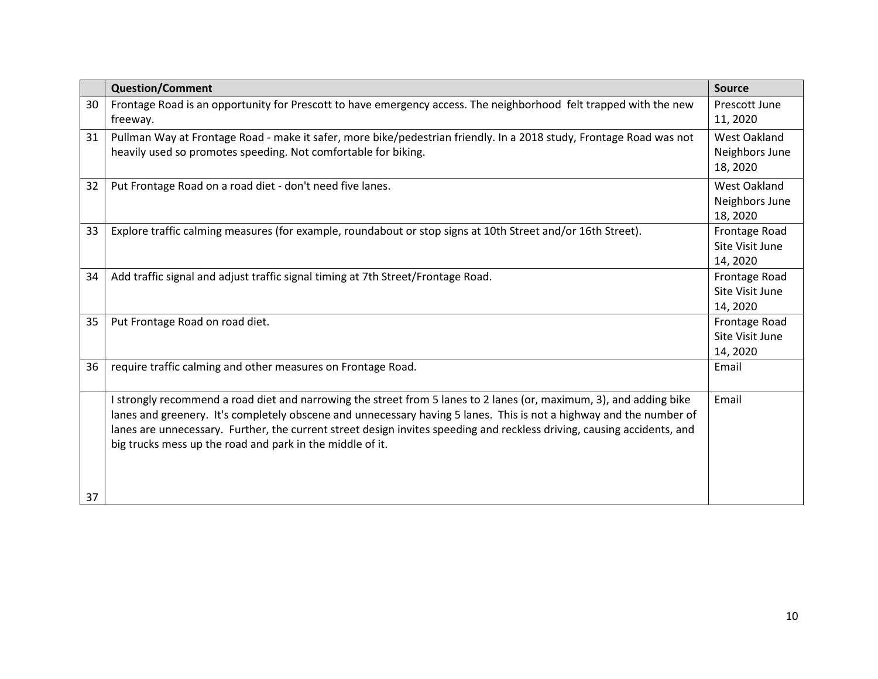|    | <b>Question/Comment</b>                                                                                                                                                                                                                                                                                                                                                                                                            | <b>Source</b>                                     |
|----|------------------------------------------------------------------------------------------------------------------------------------------------------------------------------------------------------------------------------------------------------------------------------------------------------------------------------------------------------------------------------------------------------------------------------------|---------------------------------------------------|
| 30 | Frontage Road is an opportunity for Prescott to have emergency access. The neighborhood felt trapped with the new<br>freeway.                                                                                                                                                                                                                                                                                                      | Prescott June<br>11, 2020                         |
| 31 | Pullman Way at Frontage Road - make it safer, more bike/pedestrian friendly. In a 2018 study, Frontage Road was not<br>heavily used so promotes speeding. Not comfortable for biking.                                                                                                                                                                                                                                              | <b>West Oakland</b><br>Neighbors June<br>18, 2020 |
| 32 | Put Frontage Road on a road diet - don't need five lanes.                                                                                                                                                                                                                                                                                                                                                                          | <b>West Oakland</b><br>Neighbors June<br>18, 2020 |
| 33 | Explore traffic calming measures (for example, roundabout or stop signs at 10th Street and/or 16th Street).                                                                                                                                                                                                                                                                                                                        | Frontage Road<br>Site Visit June<br>14, 2020      |
| 34 | Add traffic signal and adjust traffic signal timing at 7th Street/Frontage Road.                                                                                                                                                                                                                                                                                                                                                   | Frontage Road<br>Site Visit June<br>14, 2020      |
| 35 | Put Frontage Road on road diet.                                                                                                                                                                                                                                                                                                                                                                                                    | Frontage Road<br>Site Visit June<br>14, 2020      |
| 36 | require traffic calming and other measures on Frontage Road.                                                                                                                                                                                                                                                                                                                                                                       | Email                                             |
|    | I strongly recommend a road diet and narrowing the street from 5 lanes to 2 lanes (or, maximum, 3), and adding bike<br>lanes and greenery. It's completely obscene and unnecessary having 5 lanes. This is not a highway and the number of<br>lanes are unnecessary. Further, the current street design invites speeding and reckless driving, causing accidents, and<br>big trucks mess up the road and park in the middle of it. | Email                                             |
| 37 |                                                                                                                                                                                                                                                                                                                                                                                                                                    |                                                   |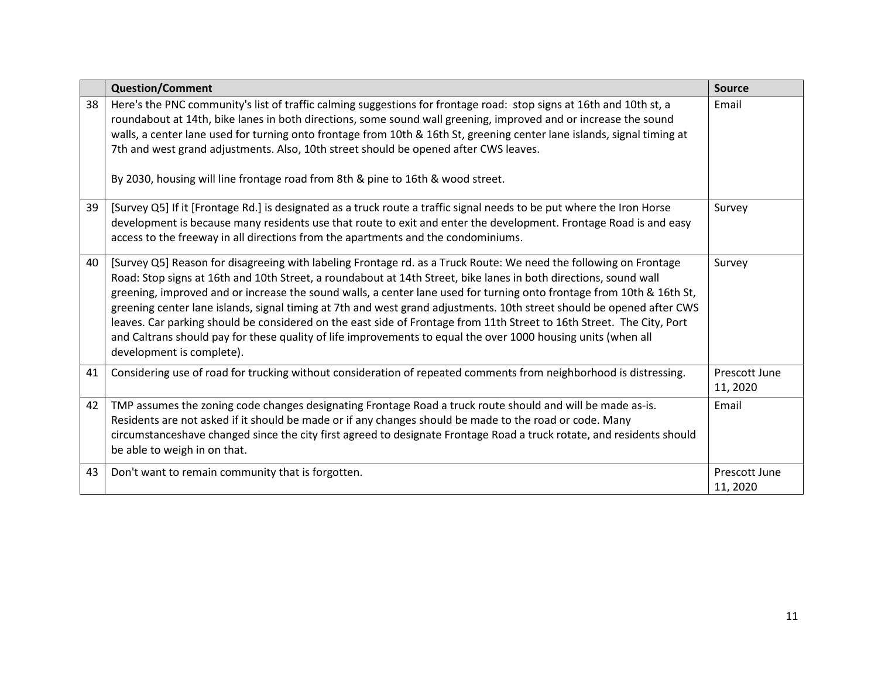|    | <b>Question/Comment</b>                                                                                                                                                                                                                                                                                                                                                                                                                                                                                                                                                                                                                                                                                                                                        | <b>Source</b>             |
|----|----------------------------------------------------------------------------------------------------------------------------------------------------------------------------------------------------------------------------------------------------------------------------------------------------------------------------------------------------------------------------------------------------------------------------------------------------------------------------------------------------------------------------------------------------------------------------------------------------------------------------------------------------------------------------------------------------------------------------------------------------------------|---------------------------|
| 38 | Here's the PNC community's list of traffic calming suggestions for frontage road: stop signs at 16th and 10th st, a<br>roundabout at 14th, bike lanes in both directions, some sound wall greening, improved and or increase the sound<br>walls, a center lane used for turning onto frontage from 10th & 16th St, greening center lane islands, signal timing at<br>7th and west grand adjustments. Also, 10th street should be opened after CWS leaves.<br>By 2030, housing will line frontage road from 8th & pine to 16th & wood street.                                                                                                                                                                                                                   | Email                     |
| 39 | [Survey Q5] If it [Frontage Rd.] is designated as a truck route a traffic signal needs to be put where the Iron Horse<br>development is because many residents use that route to exit and enter the development. Frontage Road is and easy<br>access to the freeway in all directions from the apartments and the condominiums.                                                                                                                                                                                                                                                                                                                                                                                                                                | Survey                    |
| 40 | [Survey Q5] Reason for disagreeing with labeling Frontage rd. as a Truck Route: We need the following on Frontage<br>Road: Stop signs at 16th and 10th Street, a roundabout at 14th Street, bike lanes in both directions, sound wall<br>greening, improved and or increase the sound walls, a center lane used for turning onto frontage from 10th & 16th St,<br>greening center lane islands, signal timing at 7th and west grand adjustments. 10th street should be opened after CWS<br>leaves. Car parking should be considered on the east side of Frontage from 11th Street to 16th Street. The City, Port<br>and Caltrans should pay for these quality of life improvements to equal the over 1000 housing units (when all<br>development is complete). | Survey                    |
| 41 | Considering use of road for trucking without consideration of repeated comments from neighborhood is distressing.                                                                                                                                                                                                                                                                                                                                                                                                                                                                                                                                                                                                                                              | Prescott June<br>11, 2020 |
| 42 | TMP assumes the zoning code changes designating Frontage Road a truck route should and will be made as-is.<br>Residents are not asked if it should be made or if any changes should be made to the road or code. Many<br>circumstanceshave changed since the city first agreed to designate Frontage Road a truck rotate, and residents should<br>be able to weigh in on that.                                                                                                                                                                                                                                                                                                                                                                                 | Email                     |
| 43 | Don't want to remain community that is forgotten.                                                                                                                                                                                                                                                                                                                                                                                                                                                                                                                                                                                                                                                                                                              | Prescott June<br>11, 2020 |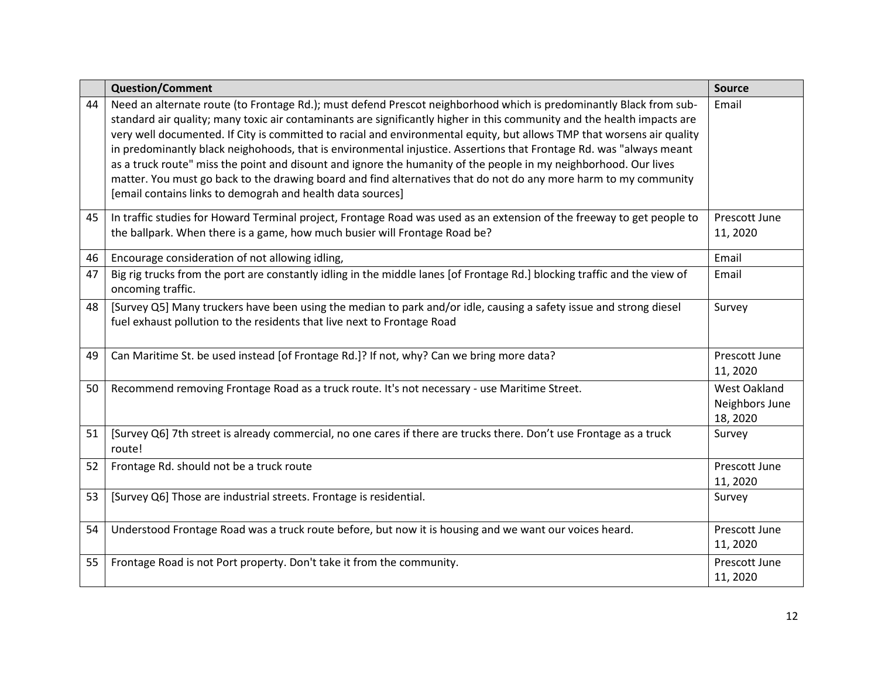|    | <b>Question/Comment</b>                                                                                                                                                                                                                                                                                                                                                                                                                                                                                                                                                                                                                                                                                                                                                                              | <b>Source</b>                                     |
|----|------------------------------------------------------------------------------------------------------------------------------------------------------------------------------------------------------------------------------------------------------------------------------------------------------------------------------------------------------------------------------------------------------------------------------------------------------------------------------------------------------------------------------------------------------------------------------------------------------------------------------------------------------------------------------------------------------------------------------------------------------------------------------------------------------|---------------------------------------------------|
| 44 | Need an alternate route (to Frontage Rd.); must defend Prescot neighborhood which is predominantly Black from sub-<br>standard air quality; many toxic air contaminants are significantly higher in this community and the health impacts are<br>very well documented. If City is committed to racial and environmental equity, but allows TMP that worsens air quality<br>in predominantly black neighohoods, that is environmental injustice. Assertions that Frontage Rd. was "always meant<br>as a truck route" miss the point and disount and ignore the humanity of the people in my neighborhood. Our lives<br>matter. You must go back to the drawing board and find alternatives that do not do any more harm to my community<br>[email contains links to demograh and health data sources] | Email                                             |
| 45 | In traffic studies for Howard Terminal project, Frontage Road was used as an extension of the freeway to get people to<br>the ballpark. When there is a game, how much busier will Frontage Road be?                                                                                                                                                                                                                                                                                                                                                                                                                                                                                                                                                                                                 | Prescott June<br>11, 2020                         |
| 46 | Encourage consideration of not allowing idling,                                                                                                                                                                                                                                                                                                                                                                                                                                                                                                                                                                                                                                                                                                                                                      | Email                                             |
| 47 | Big rig trucks from the port are constantly idling in the middle lanes [of Frontage Rd.] blocking traffic and the view of<br>oncoming traffic.                                                                                                                                                                                                                                                                                                                                                                                                                                                                                                                                                                                                                                                       | Email                                             |
| 48 | [Survey Q5] Many truckers have been using the median to park and/or idle, causing a safety issue and strong diesel<br>fuel exhaust pollution to the residents that live next to Frontage Road                                                                                                                                                                                                                                                                                                                                                                                                                                                                                                                                                                                                        | Survey                                            |
| 49 | Can Maritime St. be used instead [of Frontage Rd.]? If not, why? Can we bring more data?                                                                                                                                                                                                                                                                                                                                                                                                                                                                                                                                                                                                                                                                                                             | Prescott June<br>11, 2020                         |
| 50 | Recommend removing Frontage Road as a truck route. It's not necessary - use Maritime Street.                                                                                                                                                                                                                                                                                                                                                                                                                                                                                                                                                                                                                                                                                                         | <b>West Oakland</b><br>Neighbors June<br>18, 2020 |
| 51 | [Survey Q6] 7th street is already commercial, no one cares if there are trucks there. Don't use Frontage as a truck<br>route!                                                                                                                                                                                                                                                                                                                                                                                                                                                                                                                                                                                                                                                                        | Survey                                            |
| 52 | Frontage Rd. should not be a truck route                                                                                                                                                                                                                                                                                                                                                                                                                                                                                                                                                                                                                                                                                                                                                             | Prescott June<br>11, 2020                         |
| 53 | [Survey Q6] Those are industrial streets. Frontage is residential.                                                                                                                                                                                                                                                                                                                                                                                                                                                                                                                                                                                                                                                                                                                                   | Survey                                            |
| 54 | Understood Frontage Road was a truck route before, but now it is housing and we want our voices heard.                                                                                                                                                                                                                                                                                                                                                                                                                                                                                                                                                                                                                                                                                               | Prescott June<br>11, 2020                         |
| 55 | Frontage Road is not Port property. Don't take it from the community.                                                                                                                                                                                                                                                                                                                                                                                                                                                                                                                                                                                                                                                                                                                                | Prescott June<br>11, 2020                         |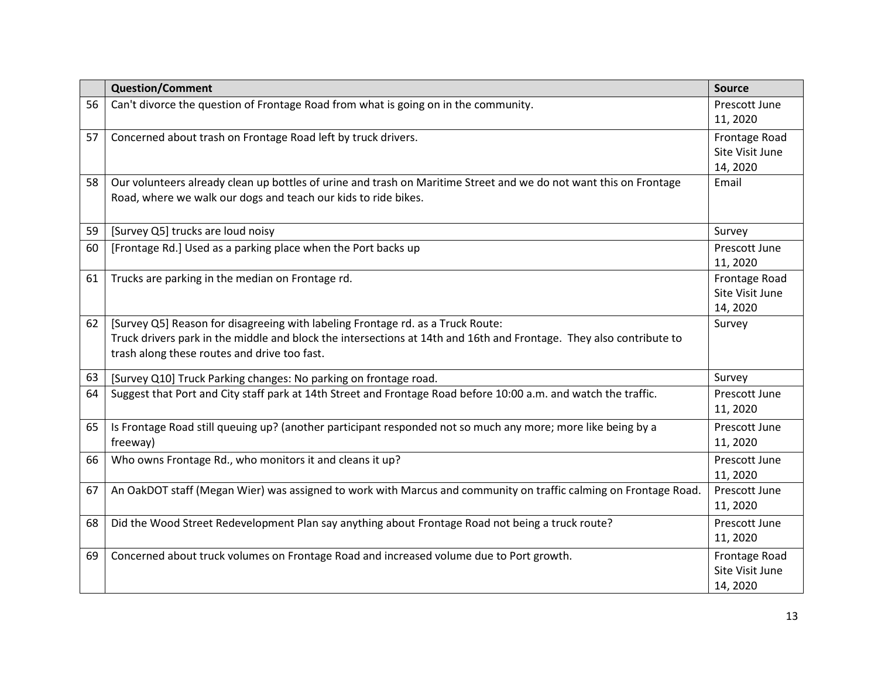|    | <b>Question/Comment</b>                                                                                                                                                                                                                                | <b>Source</b>                                |
|----|--------------------------------------------------------------------------------------------------------------------------------------------------------------------------------------------------------------------------------------------------------|----------------------------------------------|
| 56 | Can't divorce the question of Frontage Road from what is going on in the community.                                                                                                                                                                    | Prescott June<br>11, 2020                    |
| 57 | Concerned about trash on Frontage Road left by truck drivers.                                                                                                                                                                                          | Frontage Road<br>Site Visit June<br>14, 2020 |
| 58 | Our volunteers already clean up bottles of urine and trash on Maritime Street and we do not want this on Frontage<br>Road, where we walk our dogs and teach our kids to ride bikes.                                                                    | Email                                        |
| 59 | [Survey Q5] trucks are loud noisy                                                                                                                                                                                                                      | Survey                                       |
| 60 | [Frontage Rd.] Used as a parking place when the Port backs up                                                                                                                                                                                          | Prescott June<br>11, 2020                    |
| 61 | Trucks are parking in the median on Frontage rd.                                                                                                                                                                                                       | Frontage Road<br>Site Visit June<br>14, 2020 |
| 62 | [Survey Q5] Reason for disagreeing with labeling Frontage rd. as a Truck Route:<br>Truck drivers park in the middle and block the intersections at 14th and 16th and Frontage. They also contribute to<br>trash along these routes and drive too fast. | Survey                                       |
| 63 | [Survey Q10] Truck Parking changes: No parking on frontage road.                                                                                                                                                                                       | Survey                                       |
| 64 | Suggest that Port and City staff park at 14th Street and Frontage Road before 10:00 a.m. and watch the traffic.                                                                                                                                        | Prescott June<br>11, 2020                    |
| 65 | Is Frontage Road still queuing up? (another participant responded not so much any more; more like being by a<br>freeway)                                                                                                                               | Prescott June<br>11, 2020                    |
| 66 | Who owns Frontage Rd., who monitors it and cleans it up?                                                                                                                                                                                               | Prescott June<br>11, 2020                    |
| 67 | An OakDOT staff (Megan Wier) was assigned to work with Marcus and community on traffic calming on Frontage Road.                                                                                                                                       | Prescott June<br>11, 2020                    |
| 68 | Did the Wood Street Redevelopment Plan say anything about Frontage Road not being a truck route?                                                                                                                                                       | Prescott June<br>11, 2020                    |
| 69 | Concerned about truck volumes on Frontage Road and increased volume due to Port growth.                                                                                                                                                                | Frontage Road<br>Site Visit June<br>14, 2020 |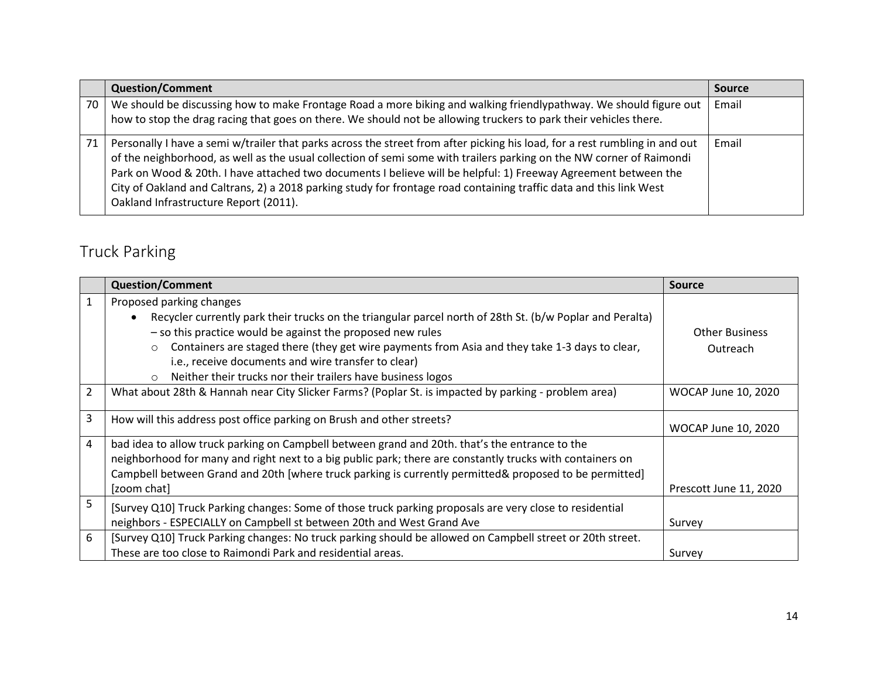|      | <b>Question/Comment</b>                                                                                                                                                                                                                                                                                                                                                                                                                                                                                                              | <b>Source</b> |
|------|--------------------------------------------------------------------------------------------------------------------------------------------------------------------------------------------------------------------------------------------------------------------------------------------------------------------------------------------------------------------------------------------------------------------------------------------------------------------------------------------------------------------------------------|---------------|
| 70 l | We should be discussing how to make Frontage Road a more biking and walking friendlypathway. We should figure out<br>how to stop the drag racing that goes on there. We should not be allowing truckers to park their vehicles there.                                                                                                                                                                                                                                                                                                | Email         |
| 71   | Personally I have a semi w/trailer that parks across the street from after picking his load, for a rest rumbling in and out<br>of the neighborhood, as well as the usual collection of semi some with trailers parking on the NW corner of Raimondi<br>Park on Wood & 20th. I have attached two documents I believe will be helpful: 1) Freeway Agreement between the<br>City of Oakland and Caltrans, 2) a 2018 parking study for frontage road containing traffic data and this link West<br>Oakland Infrastructure Report (2011). | Email         |

### Truck Parking

<span id="page-13-0"></span>

|                | <b>Question/Comment</b>                                                                                                                                                                                                                                                                                                                                                                                                                          | <b>Source</b>                     |
|----------------|--------------------------------------------------------------------------------------------------------------------------------------------------------------------------------------------------------------------------------------------------------------------------------------------------------------------------------------------------------------------------------------------------------------------------------------------------|-----------------------------------|
|                | Proposed parking changes<br>Recycler currently park their trucks on the triangular parcel north of 28th St. (b/w Poplar and Peralta)<br>- so this practice would be against the proposed new rules<br>Containers are staged there (they get wire payments from Asia and they take 1-3 days to clear,<br>$\circ$<br>i.e., receive documents and wire transfer to clear)<br>Neither their trucks nor their trailers have business logos<br>$\circ$ | <b>Other Business</b><br>Outreach |
| $\overline{2}$ | What about 28th & Hannah near City Slicker Farms? (Poplar St. is impacted by parking - problem area)                                                                                                                                                                                                                                                                                                                                             | <b>WOCAP June 10, 2020</b>        |
| 3              | How will this address post office parking on Brush and other streets?                                                                                                                                                                                                                                                                                                                                                                            | <b>WOCAP June 10, 2020</b>        |
| 4              | bad idea to allow truck parking on Campbell between grand and 20th. that's the entrance to the<br>neighborhood for many and right next to a big public park; there are constantly trucks with containers on<br>Campbell between Grand and 20th [where truck parking is currently permitted& proposed to be permitted]<br>[zoom chat]                                                                                                             | Prescott June 11, 2020            |
| 5              | [Survey Q10] Truck Parking changes: Some of those truck parking proposals are very close to residential<br>neighbors - ESPECIALLY on Campbell st between 20th and West Grand Ave                                                                                                                                                                                                                                                                 | Survey                            |
| 6              | [Survey Q10] Truck Parking changes: No truck parking should be allowed on Campbell street or 20th street.<br>These are too close to Raimondi Park and residential areas.                                                                                                                                                                                                                                                                         | Survey                            |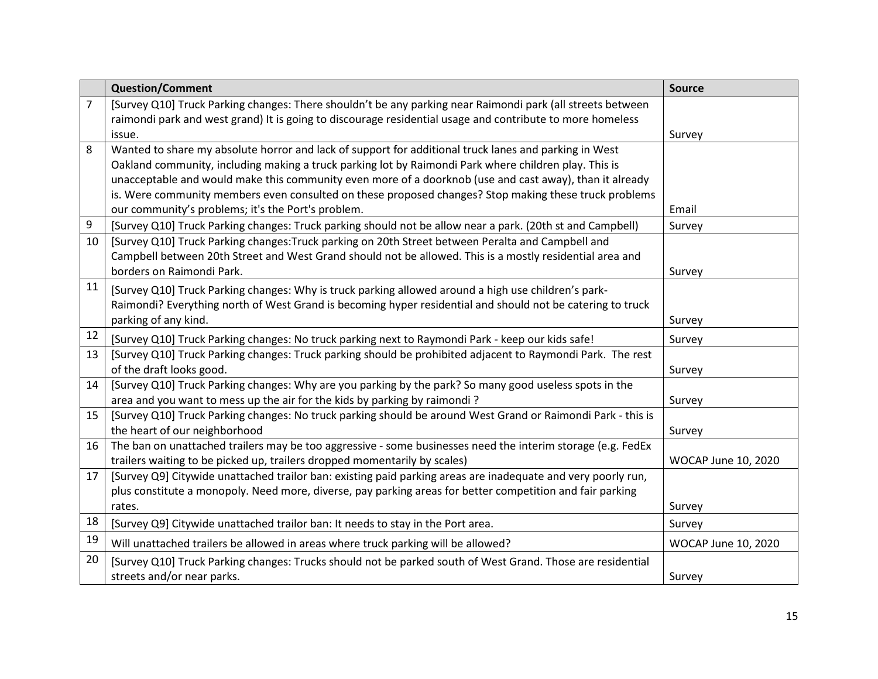|    | <b>Question/Comment</b>                                                                                      | <b>Source</b>       |
|----|--------------------------------------------------------------------------------------------------------------|---------------------|
| 7  | [Survey Q10] Truck Parking changes: There shouldn't be any parking near Raimondi park (all streets between   |                     |
|    | raimondi park and west grand) It is going to discourage residential usage and contribute to more homeless    |                     |
|    | issue.                                                                                                       | Survey              |
| 8  | Wanted to share my absolute horror and lack of support for additional truck lanes and parking in West        |                     |
|    | Oakland community, including making a truck parking lot by Raimondi Park where children play. This is        |                     |
|    | unacceptable and would make this community even more of a doorknob (use and cast away), than it already      |                     |
|    | is. Were community members even consulted on these proposed changes? Stop making these truck problems        |                     |
|    | our community's problems; it's the Port's problem.                                                           | Email               |
| 9  | [Survey Q10] Truck Parking changes: Truck parking should not be allow near a park. (20th st and Campbell)    | Survey              |
| 10 | [Survey Q10] Truck Parking changes: Truck parking on 20th Street between Peralta and Campbell and            |                     |
|    | Campbell between 20th Street and West Grand should not be allowed. This is a mostly residential area and     |                     |
|    | borders on Raimondi Park.                                                                                    | Survey              |
| 11 | [Survey Q10] Truck Parking changes: Why is truck parking allowed around a high use children's park-          |                     |
|    | Raimondi? Everything north of West Grand is becoming hyper residential and should not be catering to truck   |                     |
|    | parking of any kind.                                                                                         | Survey              |
| 12 | [Survey Q10] Truck Parking changes: No truck parking next to Raymondi Park - keep our kids safe!             | Survey              |
| 13 | [Survey Q10] Truck Parking changes: Truck parking should be prohibited adjacent to Raymondi Park. The rest   |                     |
|    | of the draft looks good.                                                                                     | Survey              |
| 14 | [Survey Q10] Truck Parking changes: Why are you parking by the park? So many good useless spots in the       |                     |
|    | area and you want to mess up the air for the kids by parking by raimondi?                                    | Survey              |
| 15 | [Survey Q10] Truck Parking changes: No truck parking should be around West Grand or Raimondi Park - this is  |                     |
|    | the heart of our neighborhood                                                                                | Survey              |
| 16 | The ban on unattached trailers may be too aggressive - some businesses need the interim storage (e.g. FedEx  |                     |
|    | trailers waiting to be picked up, trailers dropped momentarily by scales)                                    | WOCAP June 10, 2020 |
| 17 | [Survey Q9] Citywide unattached trailor ban: existing paid parking areas are inadequate and very poorly run, |                     |
|    | plus constitute a monopoly. Need more, diverse, pay parking areas for better competition and fair parking    |                     |
|    | rates.                                                                                                       | Survey              |
| 18 | [Survey Q9] Citywide unattached trailor ban: It needs to stay in the Port area.                              | Survey              |
| 19 | Will unattached trailers be allowed in areas where truck parking will be allowed?                            | WOCAP June 10, 2020 |
| 20 | [Survey Q10] Truck Parking changes: Trucks should not be parked south of West Grand. Those are residential   |                     |
|    | streets and/or near parks.                                                                                   | Survey              |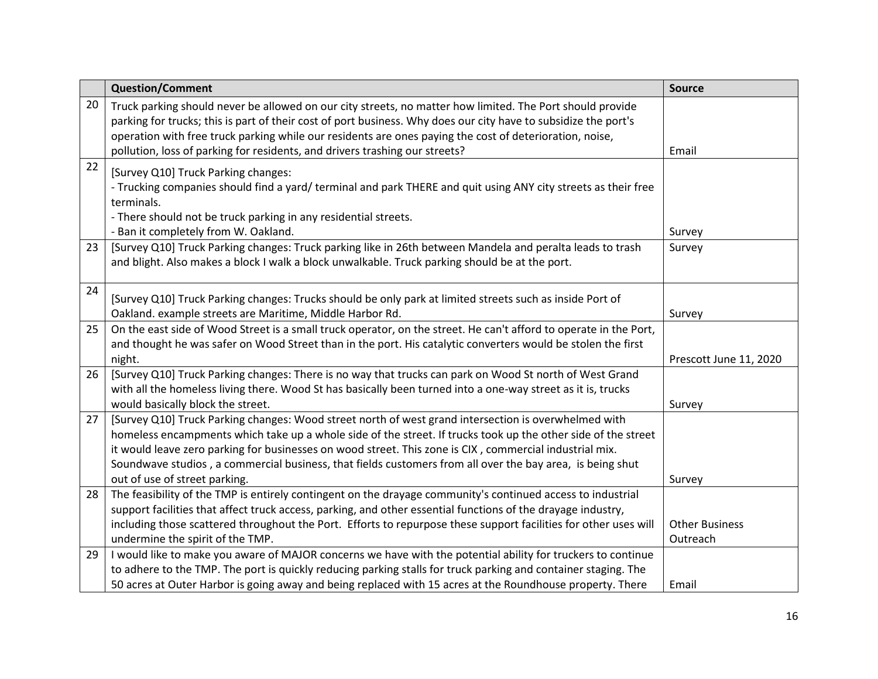|    | <b>Question/Comment</b>                                                                                                                                                                                                     | <b>Source</b>          |
|----|-----------------------------------------------------------------------------------------------------------------------------------------------------------------------------------------------------------------------------|------------------------|
| 20 | Truck parking should never be allowed on our city streets, no matter how limited. The Port should provide                                                                                                                   |                        |
|    | parking for trucks; this is part of their cost of port business. Why does our city have to subsidize the port's                                                                                                             |                        |
|    | operation with free truck parking while our residents are ones paying the cost of deterioration, noise,<br>pollution, loss of parking for residents, and drivers trashing our streets?                                      | Email                  |
| 22 |                                                                                                                                                                                                                             |                        |
|    | [Survey Q10] Truck Parking changes:                                                                                                                                                                                         |                        |
|    | - Trucking companies should find a yard/ terminal and park THERE and quit using ANY city streets as their free                                                                                                              |                        |
|    | terminals.<br>- There should not be truck parking in any residential streets.                                                                                                                                               |                        |
|    | - Ban it completely from W. Oakland.                                                                                                                                                                                        | Survey                 |
| 23 | [Survey Q10] Truck Parking changes: Truck parking like in 26th between Mandela and peralta leads to trash                                                                                                                   | Survey                 |
|    | and blight. Also makes a block I walk a block unwalkable. Truck parking should be at the port.                                                                                                                              |                        |
|    |                                                                                                                                                                                                                             |                        |
| 24 | [Survey Q10] Truck Parking changes: Trucks should be only park at limited streets such as inside Port of                                                                                                                    |                        |
|    | Oakland. example streets are Maritime, Middle Harbor Rd.                                                                                                                                                                    | Survey                 |
| 25 | On the east side of Wood Street is a small truck operator, on the street. He can't afford to operate in the Port,                                                                                                           |                        |
|    | and thought he was safer on Wood Street than in the port. His catalytic converters would be stolen the first                                                                                                                |                        |
|    | night.                                                                                                                                                                                                                      | Prescott June 11, 2020 |
| 26 | [Survey Q10] Truck Parking changes: There is no way that trucks can park on Wood St north of West Grand                                                                                                                     |                        |
|    | with all the homeless living there. Wood St has basically been turned into a one-way street as it is, trucks                                                                                                                |                        |
|    | would basically block the street.                                                                                                                                                                                           | Survey                 |
| 27 | [Survey Q10] Truck Parking changes: Wood street north of west grand intersection is overwhelmed with                                                                                                                        |                        |
|    | homeless encampments which take up a whole side of the street. If trucks took up the other side of the street                                                                                                               |                        |
|    | it would leave zero parking for businesses on wood street. This zone is CIX, commercial industrial mix.                                                                                                                     |                        |
|    | Soundwave studios, a commercial business, that fields customers from all over the bay area, is being shut                                                                                                                   |                        |
|    | out of use of street parking.                                                                                                                                                                                               | Survey                 |
| 28 | The feasibility of the TMP is entirely contingent on the drayage community's continued access to industrial<br>support facilities that affect truck access, parking, and other essential functions of the drayage industry, |                        |
|    | including those scattered throughout the Port. Efforts to repurpose these support facilities for other uses will                                                                                                            | <b>Other Business</b>  |
|    | undermine the spirit of the TMP.                                                                                                                                                                                            | Outreach               |
| 29 | I would like to make you aware of MAJOR concerns we have with the potential ability for truckers to continue                                                                                                                |                        |
|    | to adhere to the TMP. The port is quickly reducing parking stalls for truck parking and container staging. The                                                                                                              |                        |
|    | 50 acres at Outer Harbor is going away and being replaced with 15 acres at the Roundhouse property. There                                                                                                                   | Email                  |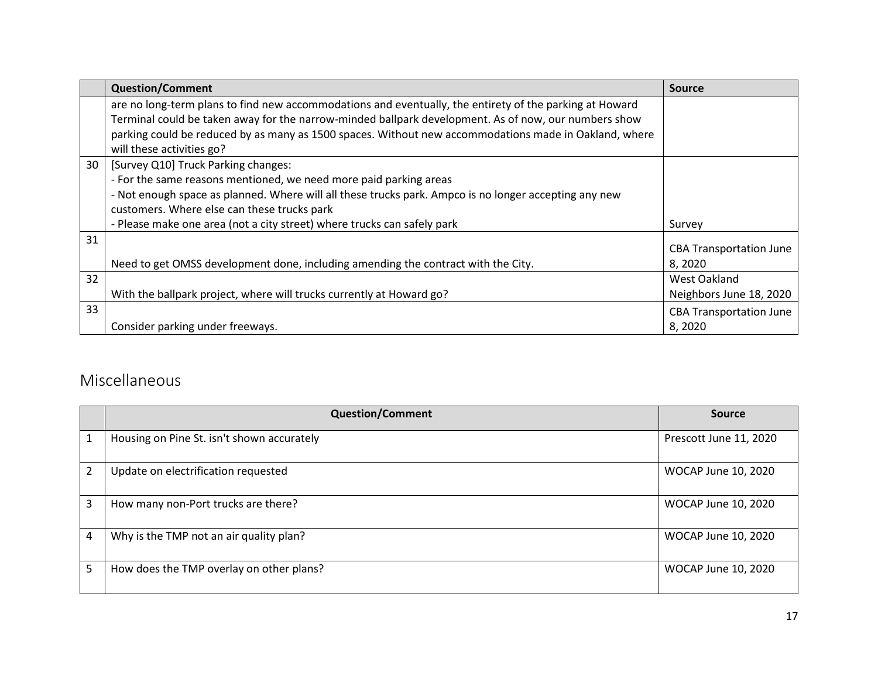|    | <b>Question/Comment</b>                                                                                 | <b>Source</b>                  |
|----|---------------------------------------------------------------------------------------------------------|--------------------------------|
|    | are no long-term plans to find new accommodations and eventually, the entirety of the parking at Howard |                                |
|    | Terminal could be taken away for the narrow-minded ballpark development. As of now, our numbers show    |                                |
|    | parking could be reduced by as many as 1500 spaces. Without new accommodations made in Oakland, where   |                                |
|    | will these activities go?                                                                               |                                |
| 30 | [Survey Q10] Truck Parking changes:                                                                     |                                |
|    | - For the same reasons mentioned, we need more paid parking areas                                       |                                |
|    | - Not enough space as planned. Where will all these trucks park. Ampco is no longer accepting any new   |                                |
|    | customers. Where else can these trucks park                                                             |                                |
|    | - Please make one area (not a city street) where trucks can safely park                                 | Survey                         |
| 31 |                                                                                                         | <b>CBA Transportation June</b> |
|    | Need to get OMSS development done, including amending the contract with the City.                       | 8, 2020                        |
| 32 |                                                                                                         | West Oakland                   |
|    | With the ballpark project, where will trucks currently at Howard go?                                    | Neighbors June 18, 2020        |
| 33 |                                                                                                         | <b>CBA Transportation June</b> |
|    | Consider parking under freeways.                                                                        | 8, 2020                        |

### Miscellaneous

<span id="page-16-0"></span>

|                | <b>Question/Comment</b>                    | <b>Source</b>          |
|----------------|--------------------------------------------|------------------------|
|                | Housing on Pine St. isn't shown accurately | Prescott June 11, 2020 |
| $\overline{2}$ | Update on electrification requested        | WOCAP June 10, 2020    |
| 3              | How many non-Port trucks are there?        | WOCAP June 10, 2020    |
| 4              | Why is the TMP not an air quality plan?    | WOCAP June 10, 2020    |
| 5              | How does the TMP overlay on other plans?   | WOCAP June 10, 2020    |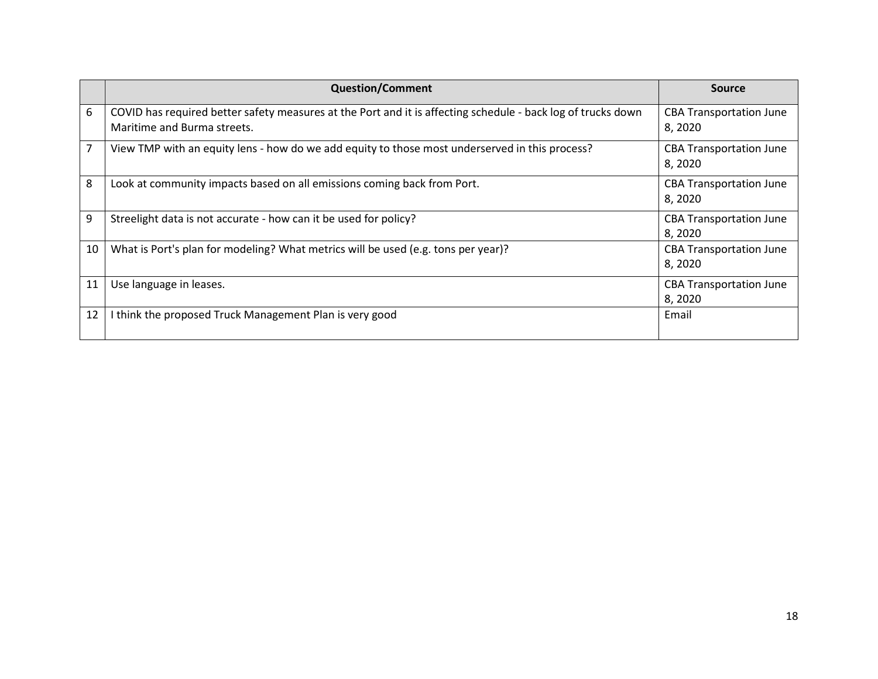|    | <b>Question/Comment</b>                                                                                                                     | <b>Source</b>                             |
|----|---------------------------------------------------------------------------------------------------------------------------------------------|-------------------------------------------|
| 6  | COVID has required better safety measures at the Port and it is affecting schedule - back log of trucks down<br>Maritime and Burma streets. | <b>CBA Transportation June</b><br>8,2020  |
|    | View TMP with an equity lens - how do we add equity to those most underserved in this process?                                              | <b>CBA Transportation June</b><br>8, 2020 |
| 8  | Look at community impacts based on all emissions coming back from Port.                                                                     | <b>CBA Transportation June</b><br>8,2020  |
| 9  | Streelight data is not accurate - how can it be used for policy?                                                                            | <b>CBA Transportation June</b><br>8,2020  |
| 10 | What is Port's plan for modeling? What metrics will be used (e.g. tons per year)?                                                           | <b>CBA Transportation June</b><br>8, 2020 |
| 11 | Use language in leases.                                                                                                                     | <b>CBA Transportation June</b><br>8, 2020 |
| 12 | I think the proposed Truck Management Plan is very good                                                                                     | Email                                     |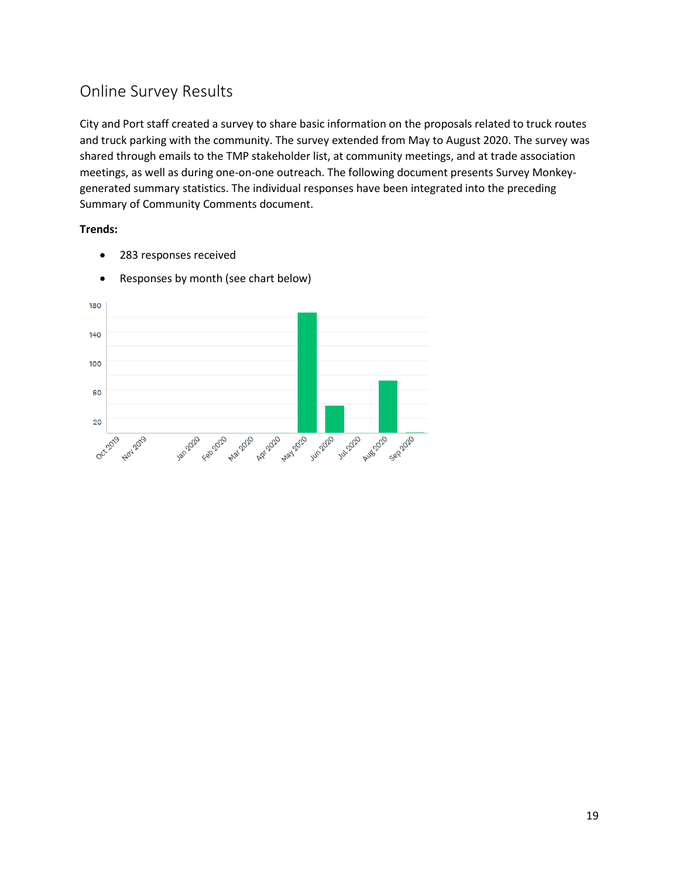#### <span id="page-18-0"></span>Online Survey Results

City and Port staff created a survey to share basic information on the proposals related to truck routes and truck parking with the community. The survey extended from May to August 2020. The survey was shared through emails to the TMP stakeholder list, at community meetings, and at trade association meetings, as well as during one-on-one outreach. The following document presents Survey Monkeygenerated summary statistics. The individual responses have been integrated into the preceding Summary of Community Comments document.

**Trends:**

- 283 responses received
- Responses by month (see chart below)

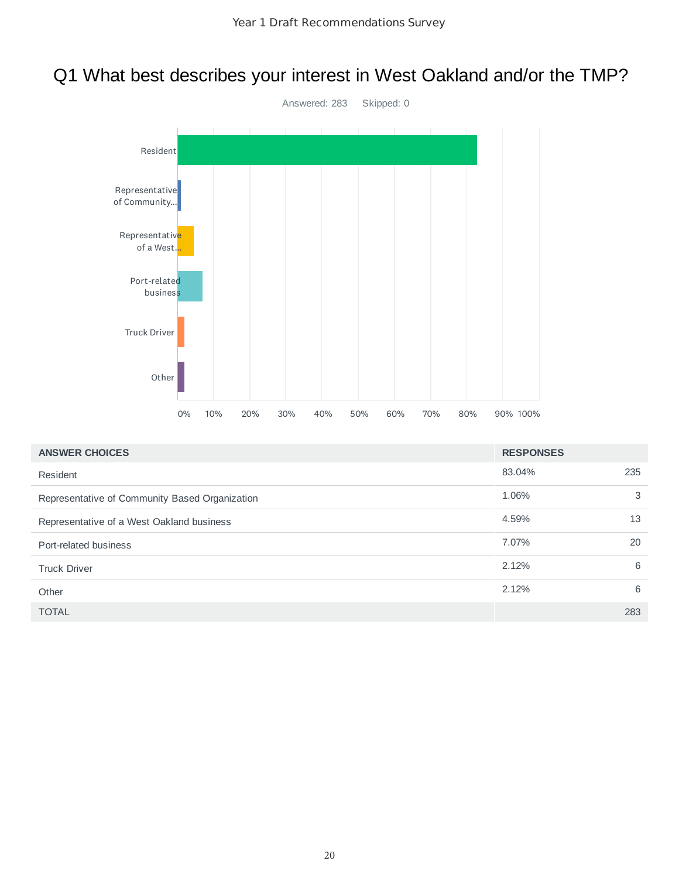## Q1 What best describes your interest in West Oakland and/or the TMP?



| <b>ANSWER CHOICES</b>                          | <b>RESPONSES</b> |     |
|------------------------------------------------|------------------|-----|
| Resident                                       | 83.04%           | 235 |
| Representative of Community Based Organization | 1.06%            | 3   |
| Representative of a West Oakland business      | 4.59%            | 13  |
| Port-related business                          | 7.07%            | 20  |
| <b>Truck Driver</b>                            | 2.12%            | 6   |
| Other                                          | 2.12%            | 6   |
| <b>TOTAL</b>                                   |                  | 283 |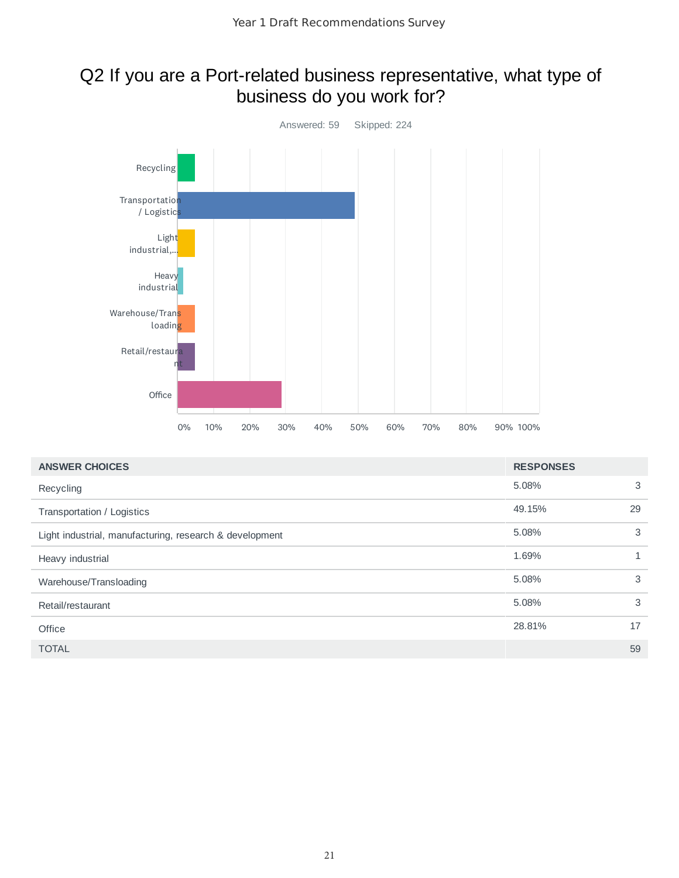### Q2 If you are a Port-related business representative, what type of business do you work for?



| <b>ANSWER CHOICES</b>                                   | <b>RESPONSES</b> |              |
|---------------------------------------------------------|------------------|--------------|
| Recycling                                               | 5.08%            | 3            |
| Transportation / Logistics                              | 49.15%           | 29           |
| Light industrial, manufacturing, research & development | 5.08%            | 3            |
| Heavy industrial                                        | 1.69%            | $\mathbf{1}$ |
| Warehouse/Transloading                                  | 5.08%            | 3            |
| Retail/restaurant                                       | 5.08%            | 3            |
| Office                                                  | 28.81%           | 17           |
| <b>TOTAL</b>                                            |                  | 59           |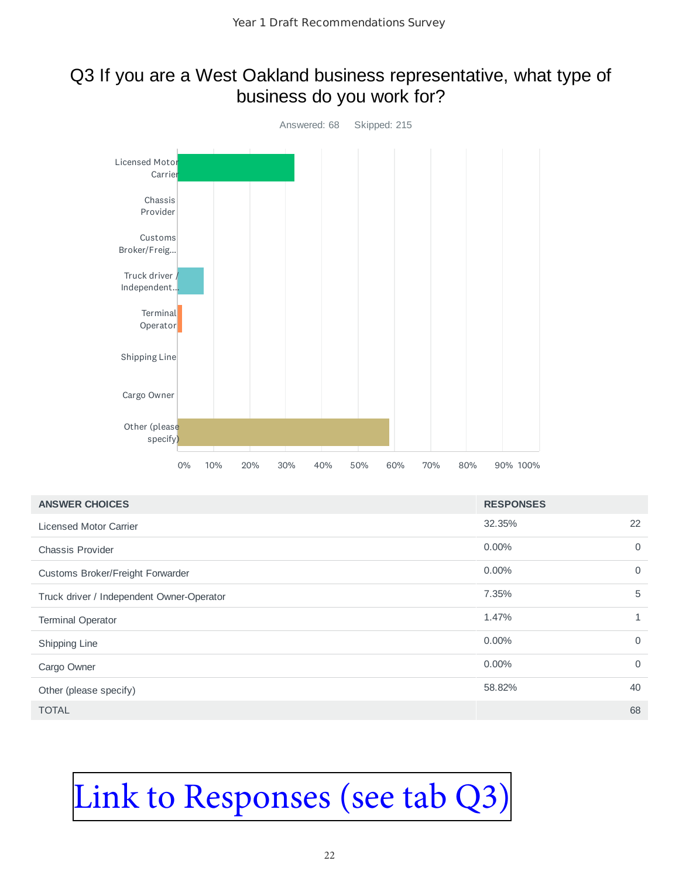#### Q3 If you are a West Oakland business representative, what type of business do you work for?



| <b>ANSWER CHOICES</b>                     | <b>RESPONSES</b> |              |
|-------------------------------------------|------------------|--------------|
| <b>Licensed Motor Carrier</b>             | 32.35%           | 22           |
| <b>Chassis Provider</b>                   | 0.00%            | $\mathbf 0$  |
| Customs Broker/Freight Forwarder          | $0.00\%$         | $\mathbf 0$  |
| Truck driver / Independent Owner-Operator | 7.35%            | 5            |
| <b>Terminal Operator</b>                  | 1.47%            | $\mathbf{1}$ |
| Shipping Line                             | 0.00%            | $\mathbf 0$  |
| Cargo Owner                               | $0.00\%$         | $\mathbf 0$  |
| Other (please specify)                    | 58.82%           | 40           |
| <b>TOTAL</b>                              |                  | 68           |

# [Link to Responses \(see tab Q3\)](https://docs.google.com/spreadsheets/d/13AJRGem5_3heX_RA1_g4pQhu1A_XR1j87gE1OuOjGMo/edit#gid=1378510907)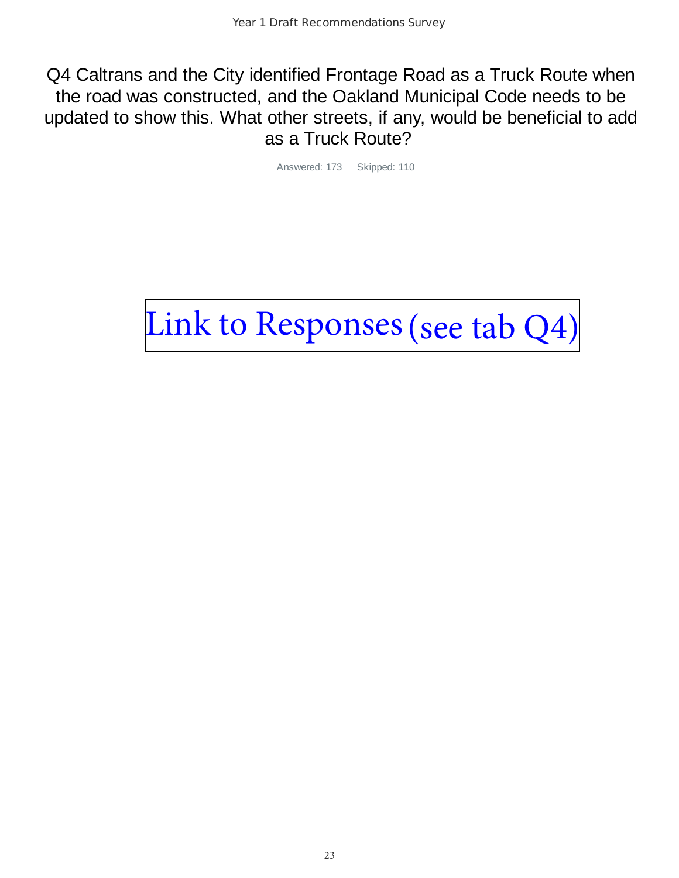Q4 Caltrans and the City identified Frontage Road as a Truck Route when the road was constructed, and the Oakland Municipal Code needs to be updated to show this. What other streets, if any, would be beneficial to add as a Truck Route?

Answered: 173 Skipped: 110

# [Link to Responses \(see tab Q4\)](https://docs.google.com/spreadsheets/d/13AJRGem5_3heX_RA1_g4pQhu1A_XR1j87gE1OuOjGMo/edit#gid=1272437319)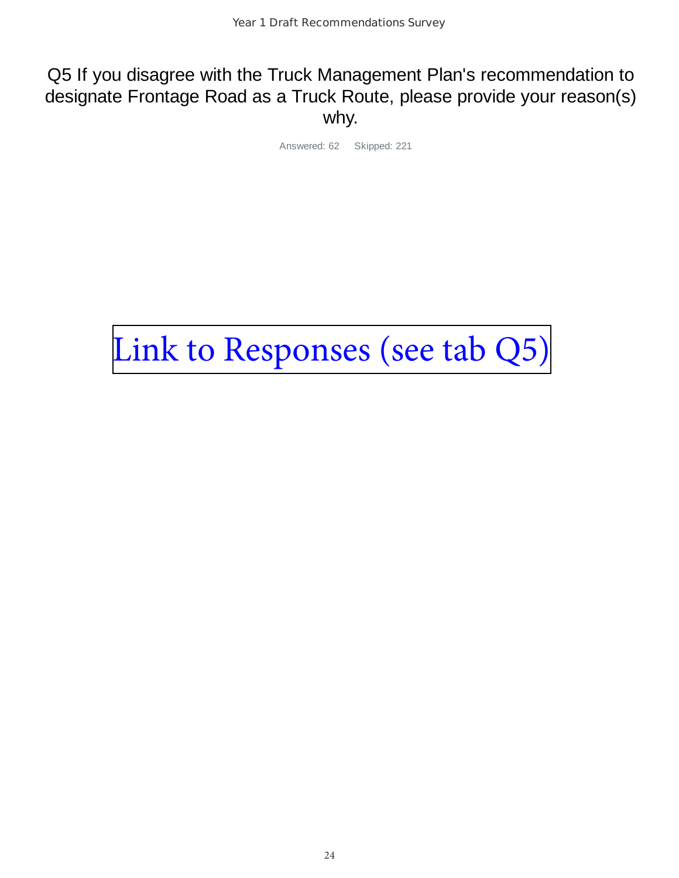Q5 If you disagree with the Truck Management Plan's recommendation to designate Frontage Road as a Truck Route, please provide your reason(s) why.

Answered: 62 Skipped: 221

# [Link to Responses \(see tab Q5\)](https://docs.google.com/spreadsheets/d/13AJRGem5_3heX_RA1_g4pQhu1A_XR1j87gE1OuOjGMo/edit#gid=1624405270)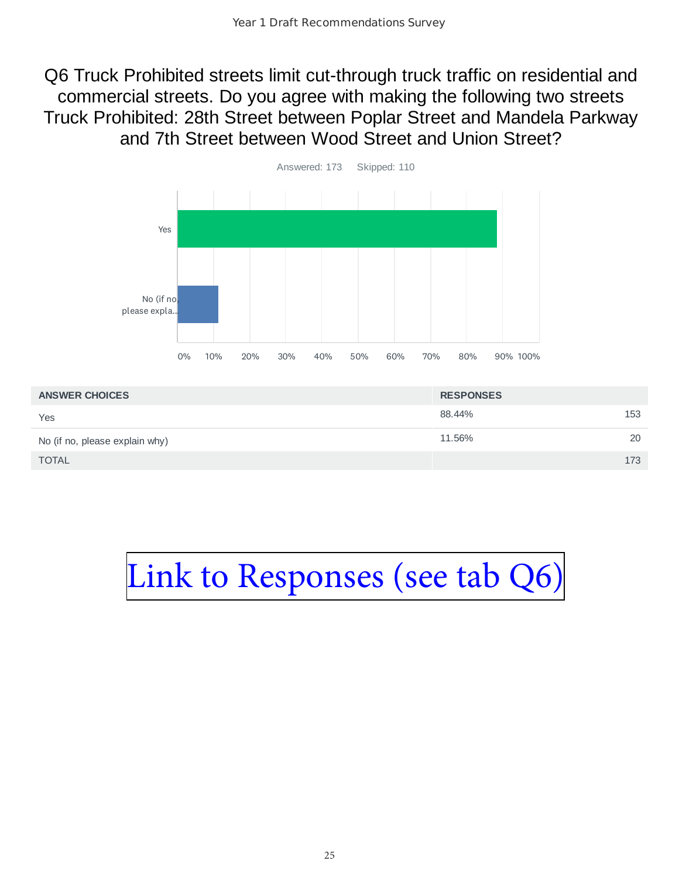Q6 Truck Prohibited streets limit cut-through truck traffic on residential and commercial streets. Do you agree with making the following two streets Truck Prohibited: 28th Street between Poplar Street and Mandela Parkway and 7th Street between Wood Street and Union Street?



| <b>ANSWER CHOICES</b>          | <b>RESPONSES</b> |     |
|--------------------------------|------------------|-----|
| Yes                            | 88.44%           | 153 |
| No (if no, please explain why) | 11.56%           | 20  |
| <b>TOTAL</b>                   |                  | 173 |

# [Link to Responses \(see tab Q6\)](https://docs.google.com/spreadsheets/d/13AJRGem5_3heX_RA1_g4pQhu1A_XR1j87gE1OuOjGMo/edit#gid=1706294163)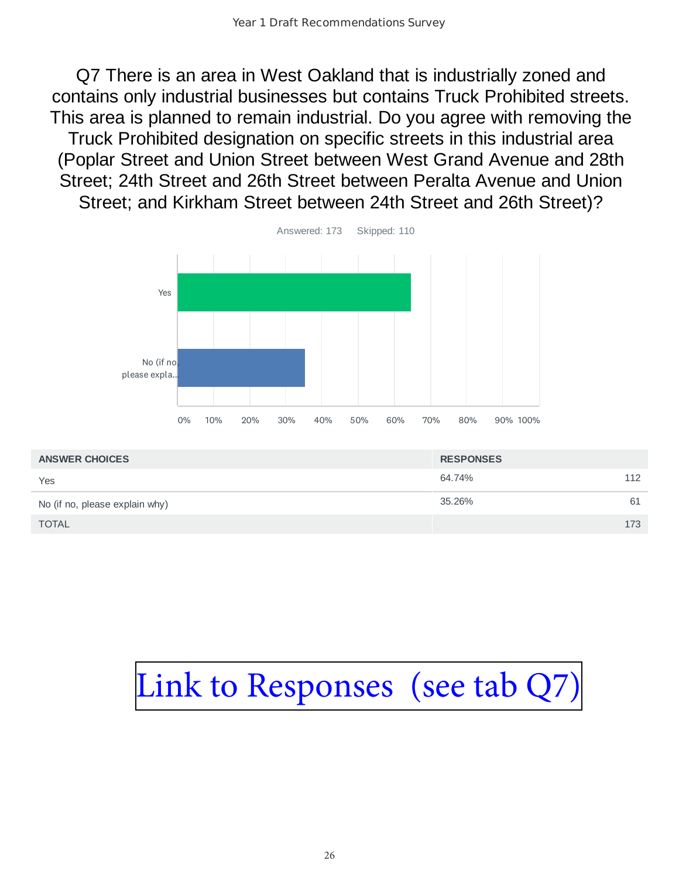Q7 There is an area in West Oakland that is industrially zoned and contains only industrial businesses but contains Truck Prohibited streets. This area is planned to remain industrial. Do you agree with removing the Truck Prohibited designation on specific streets in this industrial area (Poplar Street and Union Street between West Grand Avenue and 28th Street; 24th Street and 26th Street between Peralta Avenue and Union Street; and Kirkham Street between 24th Street and 26th Street)?



| <b>ANSWER CHOICES</b>          | <b>RESPONSES</b> |     |
|--------------------------------|------------------|-----|
| Yes                            | 64.74%           | 112 |
| No (if no, please explain why) | 35.26%           | 61  |
| <b>TOTAL</b>                   |                  | 173 |

# [Link to Responses \(see tab Q7\)](https://docs.google.com/spreadsheets/d/13AJRGem5_3heX_RA1_g4pQhu1A_XR1j87gE1OuOjGMo/edit#gid=1314415018)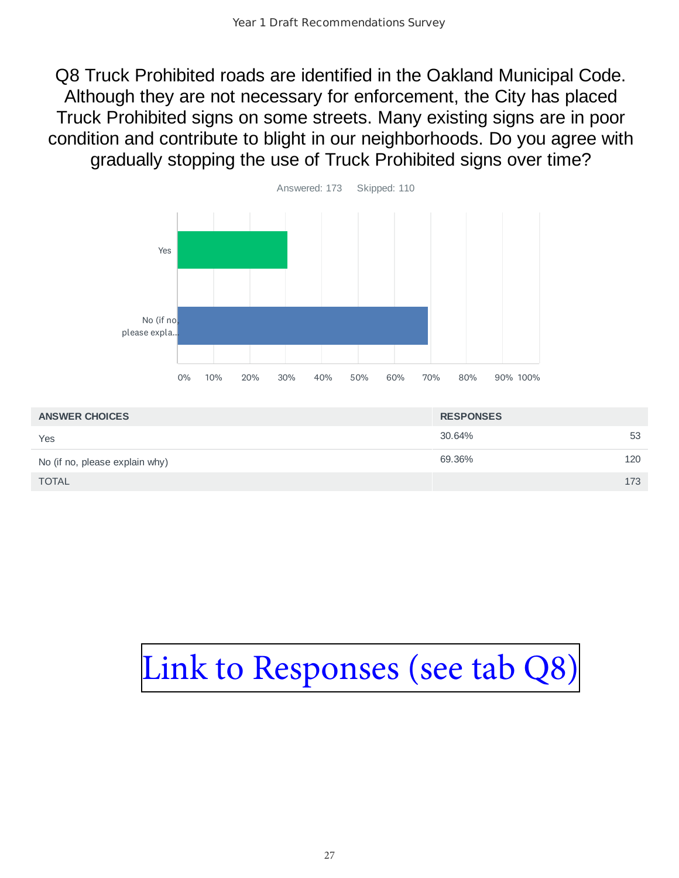Q8 Truck Prohibited roads are identified in the Oakland Municipal Code. Although they are not necessary for enforcement, the City has placed Truck Prohibited signs on some streets. Many existing signs are in poor condition and contribute to blight in our neighborhoods. Do you agree with gradually stopping the use of Truck Prohibited signs over time?



| <b>ANSWER CHOICES</b>          | <b>RESPONSES</b> |     |
|--------------------------------|------------------|-----|
| Yes                            | 30.64%           | 53  |
| No (if no, please explain why) | 69.36%           | 120 |
| <b>TOTAL</b>                   |                  | 173 |

[Link to Responses \(see tab Q8\)](https://docs.google.com/spreadsheets/d/13AJRGem5_3heX_RA1_g4pQhu1A_XR1j87gE1OuOjGMo/edit#gid=1305316752)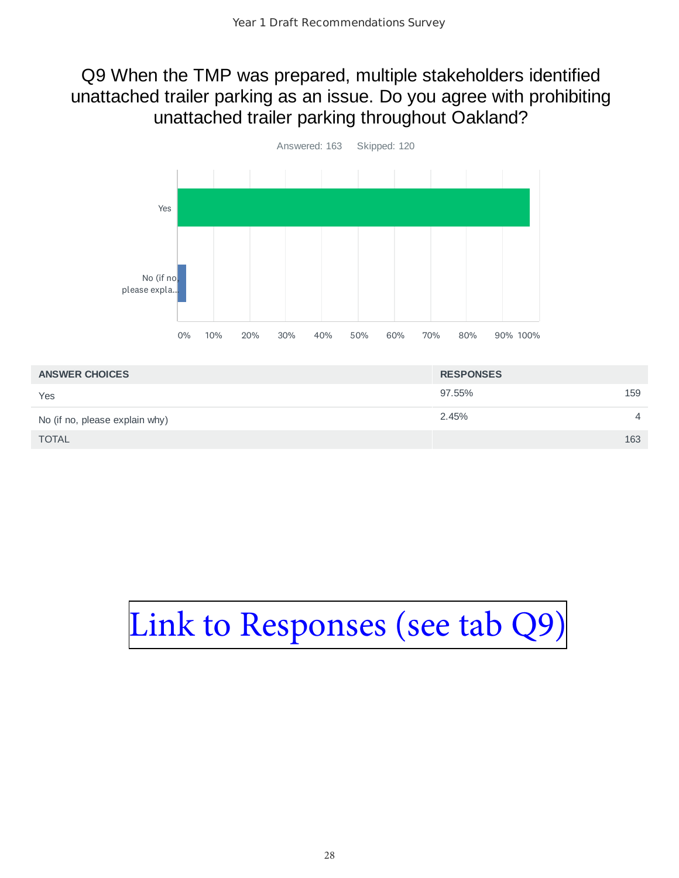### Q9 When the TMP was prepared, multiple stakeholders identified unattached trailer parking as an issue. Do you agree with prohibiting unattached trailer parking throughout Oakland?



| <b>ANSWER CHOICES</b>          | <b>RESPONSES</b> |                |
|--------------------------------|------------------|----------------|
| Yes                            | 97.55%           | 159            |
| No (if no, please explain why) | 2.45%            | $\overline{4}$ |
| <b>TOTAL</b>                   |                  | 163            |

# [Link to Responses \(see tab Q9\)](https://docs.google.com/spreadsheets/d/13AJRGem5_3heX_RA1_g4pQhu1A_XR1j87gE1OuOjGMo/edit#gid=598015369)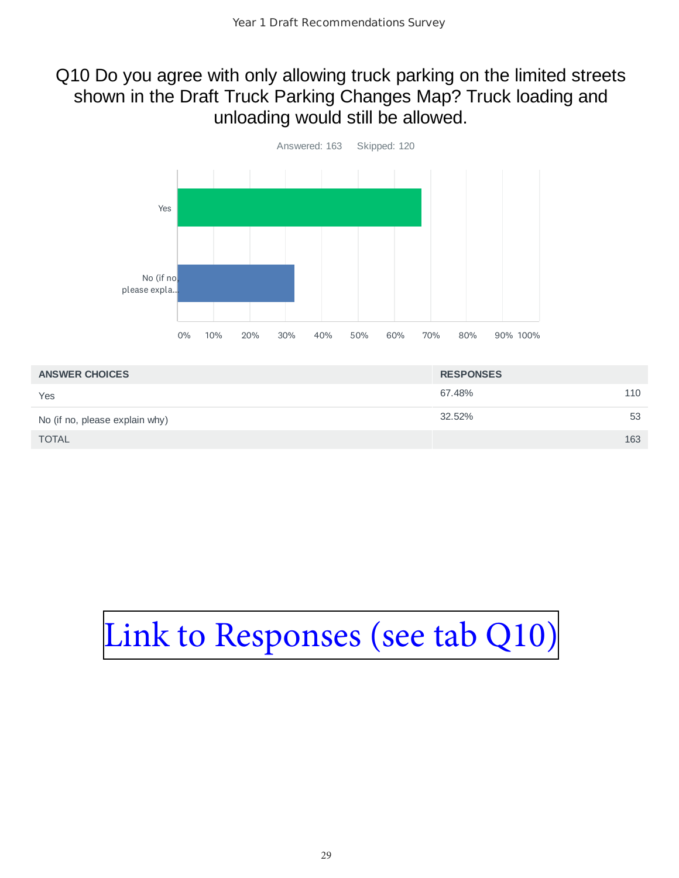### Q10 Do you agree with only allowing truck parking on the limited streets shown in the Draft Truck Parking Changes Map? Truck loading and unloading would still be allowed.



| <b>ANSWER CHOICES</b>          | <b>RESPONSES</b> |     |
|--------------------------------|------------------|-----|
| Yes                            | 67.48%           | 110 |
| No (if no, please explain why) | 32.52%           | 53  |
| <b>TOTAL</b>                   |                  | 163 |

# [Link to Responses \(see tab Q10\)](https://docs.google.com/spreadsheets/d/13AJRGem5_3heX_RA1_g4pQhu1A_XR1j87gE1OuOjGMo/edit#gid=1108227843)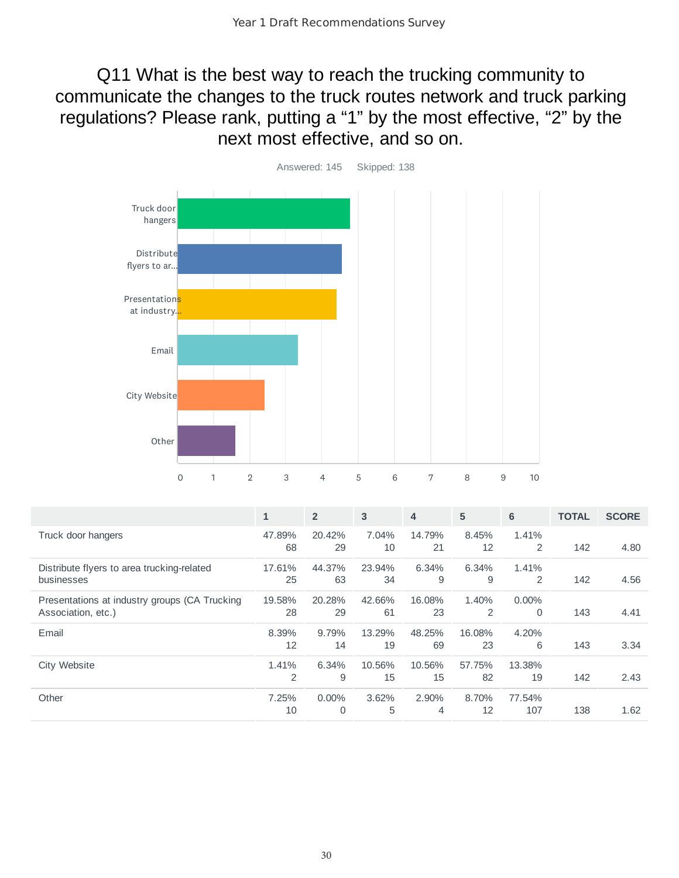Q11 What is the best way to reach the trucking community to communicate the changes to the truck routes network and truck parking regulations? Please rank, putting a "1" by the most effective, "2" by the next most effective, and so on.



|                                                                     | $\mathbf{1}$ | $\overline{2}$           | 3            | $\overline{4}$ | 5            | 6                    | <b>TOTAL</b> | <b>SCORE</b> |
|---------------------------------------------------------------------|--------------|--------------------------|--------------|----------------|--------------|----------------------|--------------|--------------|
| Truck door hangers                                                  | 47.89%<br>68 | 20.42%<br>29             | 7.04%<br>10  | 14.79%<br>21   | 8.45%<br>12  | 1.41%<br>2           | 142          | 4.80         |
| Distribute flyers to area trucking-related<br>businesses            | 17.61%<br>25 | 44.37%<br>63             | 23.94%<br>34 | 6.34%<br>9     | 6.34%<br>9   | 1.41%<br>2           | 142          | 4.56         |
| Presentations at industry groups (CA Trucking<br>Association, etc.) | 19.58%<br>28 | 20.28%<br>29             | 42.66%<br>61 | 16.08%<br>23   | 1.40%<br>2   | $0.00\%$<br>$\Omega$ | 143          | 4.41         |
| Email                                                               | 8.39%<br>12  | 9.79%<br>14              | 13.29%<br>19 | 48.25%<br>69   | 16.08%<br>23 | 4.20%<br>6           | 143          | 3.34         |
| City Website                                                        | 1.41%<br>2   | 6.34%<br>9               | 10.56%<br>15 | 10.56%<br>15   | 57.75%<br>82 | 13.38%<br>19         | 142          | 2.43         |
| Other                                                               | 7.25%<br>10  | $0.00\%$<br>$\mathbf{0}$ | 3.62%<br>5   | 2.90%<br>4     | 8.70%<br>12  | 77.54%<br>107        | 138          | 1.62         |

30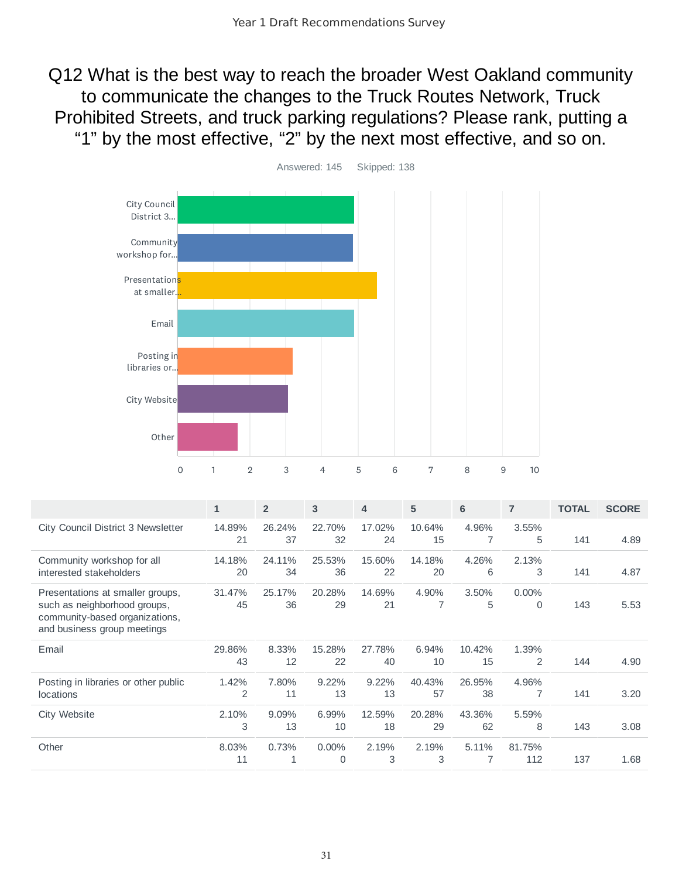Q12 What is the best way to reach the broader West Oakland community to communicate the changes to the Truck Routes Network, Truck Prohibited Streets, and truck parking regulations? Please rank, putting a "1" by the most effective, "2" by the next most effective, and so on.



|                                                                                                                                   | $\mathbf{1}$ | $\overline{2}$ | 3              | 4              | 5                       | 6            | $\overline{7}$             | <b>TOTAL</b> | <b>SCORE</b> |
|-----------------------------------------------------------------------------------------------------------------------------------|--------------|----------------|----------------|----------------|-------------------------|--------------|----------------------------|--------------|--------------|
| City Council District 3 Newsletter                                                                                                | 14.89%<br>21 | 26.24%<br>37   | 22.70%<br>32   | 17.02%<br>24   | 10.64%<br>15            | 4.96%<br>7   | 3.55%<br>5                 | 141          | 4.89         |
| Community workshop for all<br>interested stakeholders                                                                             | 14.18%<br>20 | 24.11%<br>34   | 25.53%<br>36   | 15.60%<br>22   | 14.18%<br>20            | 4.26%<br>6   | 2.13%<br>3                 | 141          | 4.87         |
| Presentations at smaller groups,<br>such as neighborhood groups,<br>community-based organizations,<br>and business group meetings | 31.47%<br>45 | 25.17%<br>36   | 20.28%<br>29   | 14.69%<br>21   | 4.90%<br>$\overline{7}$ | 3.50%<br>5   | $0.00\%$<br>$\overline{0}$ | 143          | 5.53         |
| Email                                                                                                                             | 29.86%<br>43 | 8.33%<br>12    | 15.28%<br>22   | 27.78%<br>40   | 6.94%<br>10             | 10.42%<br>15 | 1.39%<br>$\overline{2}$    | 144          | 4.90         |
| Posting in libraries or other public<br><i>locations</i>                                                                          | 1.42%<br>2   | 7.80%<br>11    | $9.22\%$<br>13 | $9.22\%$<br>13 | 40.43%<br>57            | 26.95%<br>38 | 4.96%<br>7                 | 141          | 3.20         |
| City Website                                                                                                                      | 2.10%<br>3   | 9.09%<br>13    | 6.99%<br>10    | 12.59%<br>18   | 20.28%<br>29            | 43.36%<br>62 | 5.59%<br>8                 | 143          | 3.08         |
| Other                                                                                                                             | 8.03%<br>11  | 0.73%          | $0.00\%$<br>0  | 2.19%<br>3     | 2.19%<br>3              | 5.11%        | 81.75%<br>112              | 137          | 1.68         |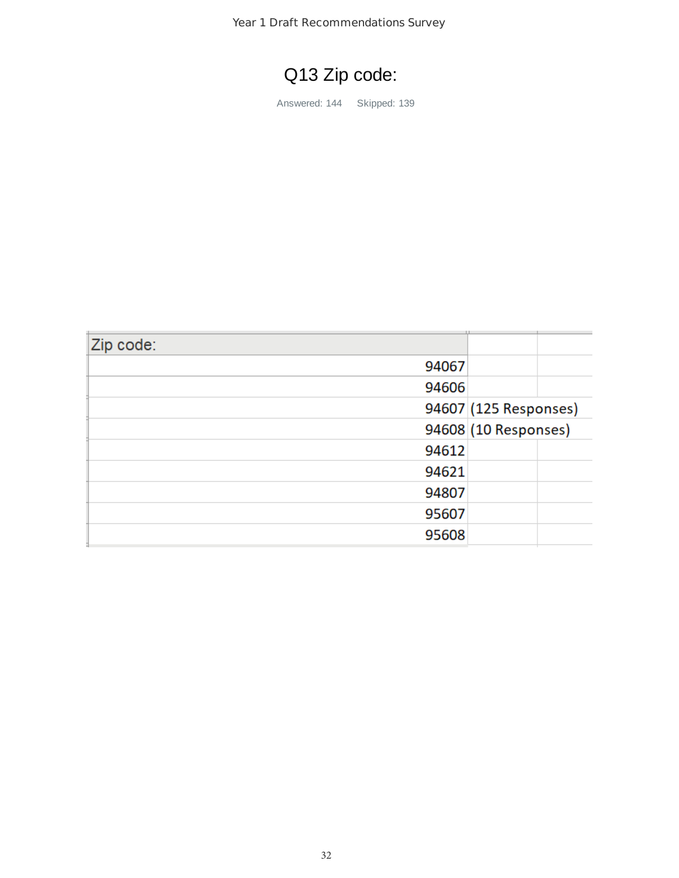Year 1 Draft Recommendations Survey

## Q13 Zip code:

Answered: 144 Skipped: 139

| Zip code: |       |                       |  |
|-----------|-------|-----------------------|--|
|           | 94067 |                       |  |
|           | 94606 |                       |  |
|           |       | 94607 (125 Responses) |  |
|           |       | 94608 (10 Responses)  |  |
|           | 94612 |                       |  |
|           | 94621 |                       |  |
|           | 94807 |                       |  |
|           | 95607 |                       |  |
|           | 95608 |                       |  |
|           |       |                       |  |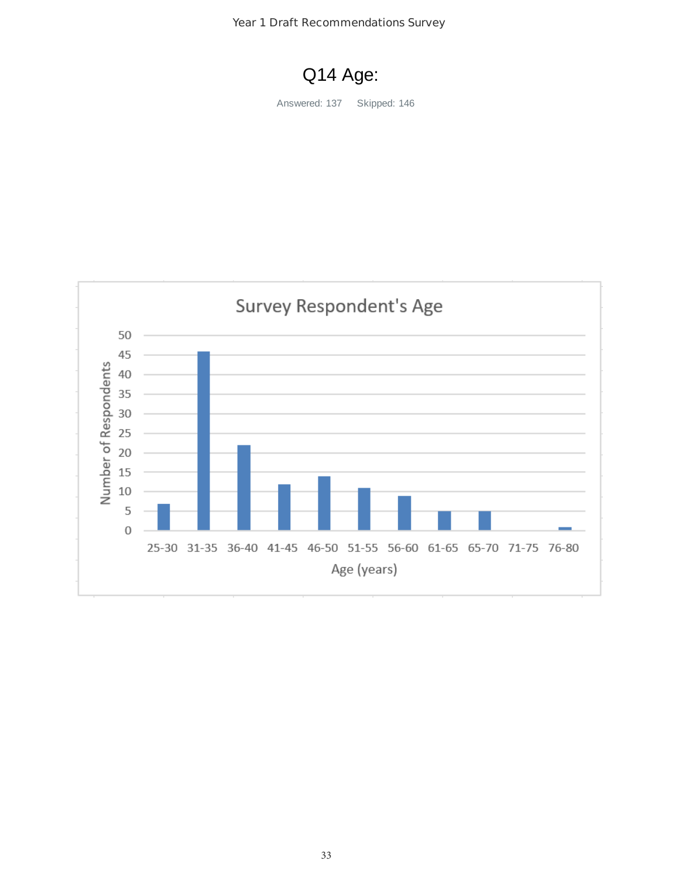Year 1 Draft Recommendations Survey

### Q14 Age:

Answered: 137 Skipped: 146

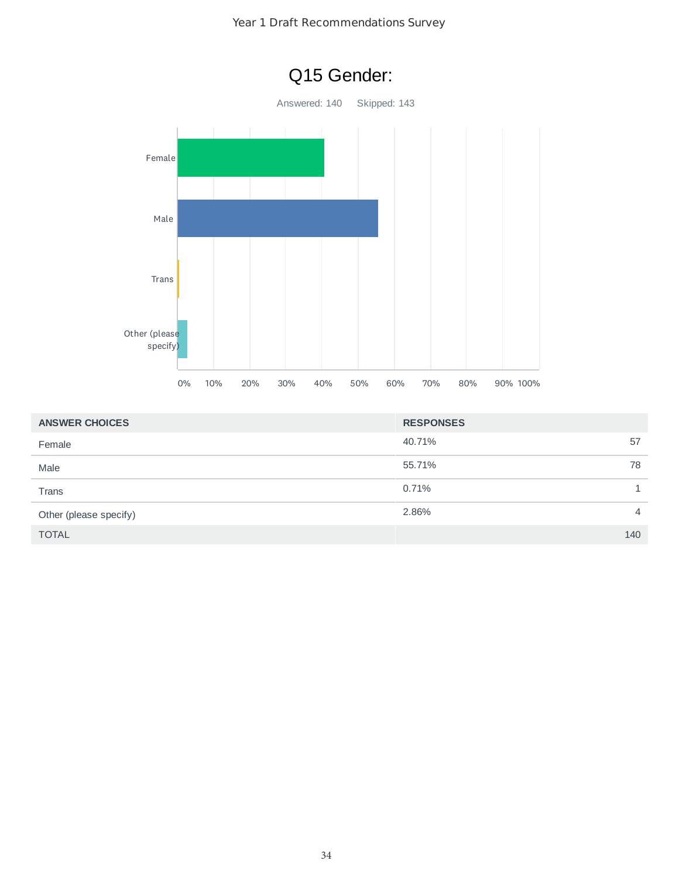

| <b>ANSWER CHOICES</b>  | <b>RESPONSES</b> |     |
|------------------------|------------------|-----|
| Female                 | 40.71%           | 57  |
| Male                   | 55.71%           | 78  |
| Trans                  | 0.71%            | 1   |
| Other (please specify) | 2.86%            | 4   |
| <b>TOTAL</b>           |                  | 140 |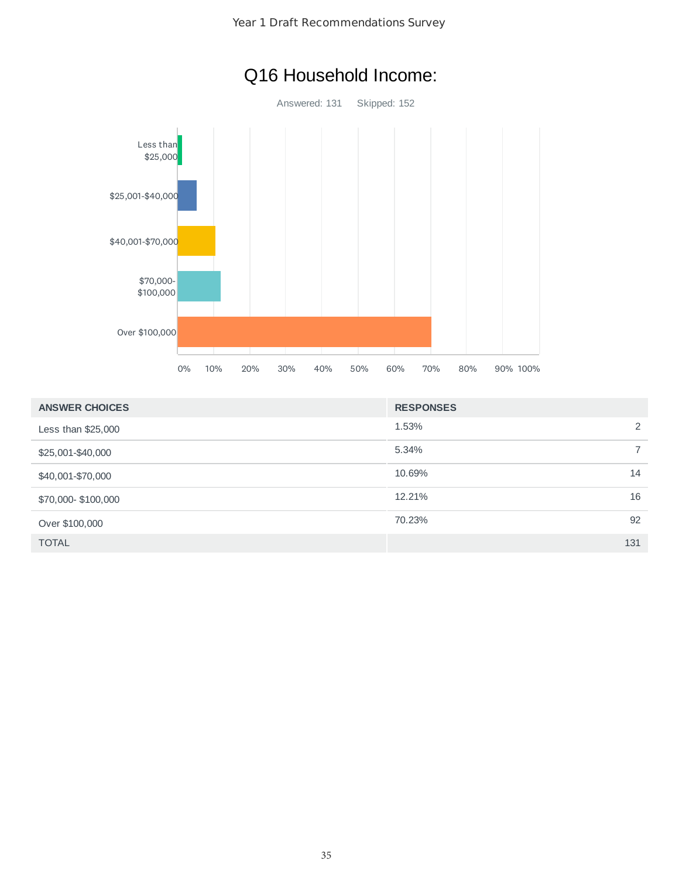

| Q16 Household Income: |  |
|-----------------------|--|
|-----------------------|--|

| <b>ANSWER CHOICES</b> | <b>RESPONSES</b> |     |
|-----------------------|------------------|-----|
| Less than \$25,000    | 1.53%            | 2   |
| \$25,001-\$40,000     | 5.34%            |     |
| \$40,001-\$70,000     | 10.69%           | 14  |
| \$70,000-\$100,000    | 12.21%           | 16  |
| Over \$100,000        | 70.23%           | 92  |
| <b>TOTAL</b>          |                  | 131 |